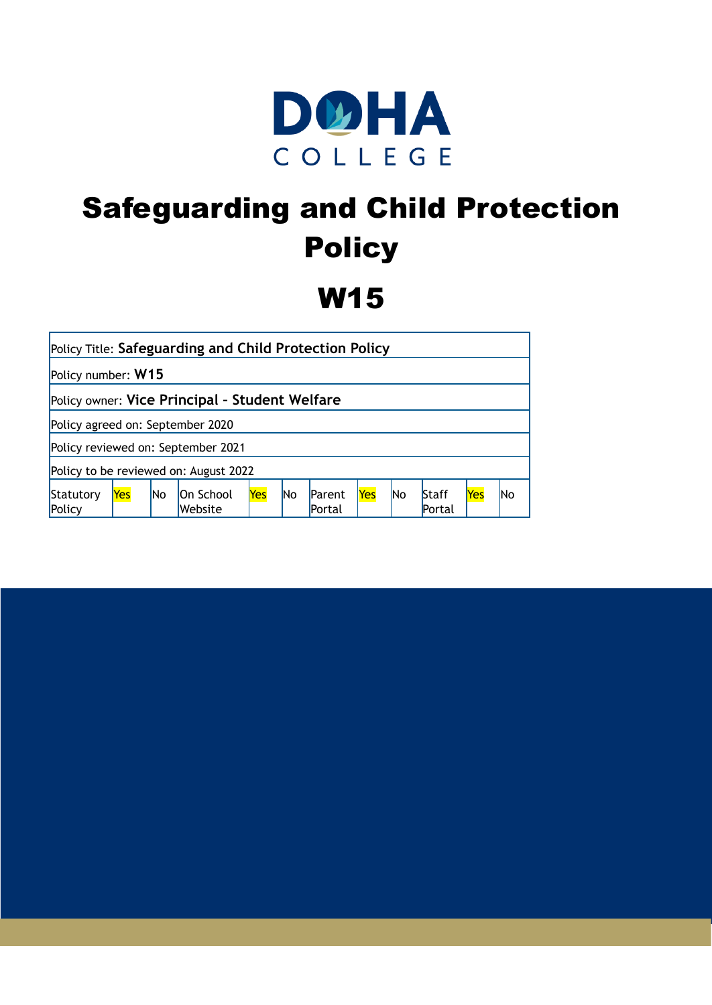

# Safeguarding and Child Protection Policy

W15

| Policy Title: Safeguarding and Child Protection Policy |     |           |                      |     |                |                  |     |           |                 |     |     |
|--------------------------------------------------------|-----|-----------|----------------------|-----|----------------|------------------|-----|-----------|-----------------|-----|-----|
| Policy number: W15                                     |     |           |                      |     |                |                  |     |           |                 |     |     |
| Policy owner: Vice Principal - Student Welfare         |     |           |                      |     |                |                  |     |           |                 |     |     |
| Policy agreed on: September 2020                       |     |           |                      |     |                |                  |     |           |                 |     |     |
| Policy reviewed on: September 2021                     |     |           |                      |     |                |                  |     |           |                 |     |     |
| Policy to be reviewed on: August 2022                  |     |           |                      |     |                |                  |     |           |                 |     |     |
| Statutory<br>Policy                                    | Yes | <b>No</b> | On School<br>Website | Yes | N <sub>o</sub> | Parent<br>Portal | Yes | <b>No</b> | Staff<br>Portal | Yes | lNo |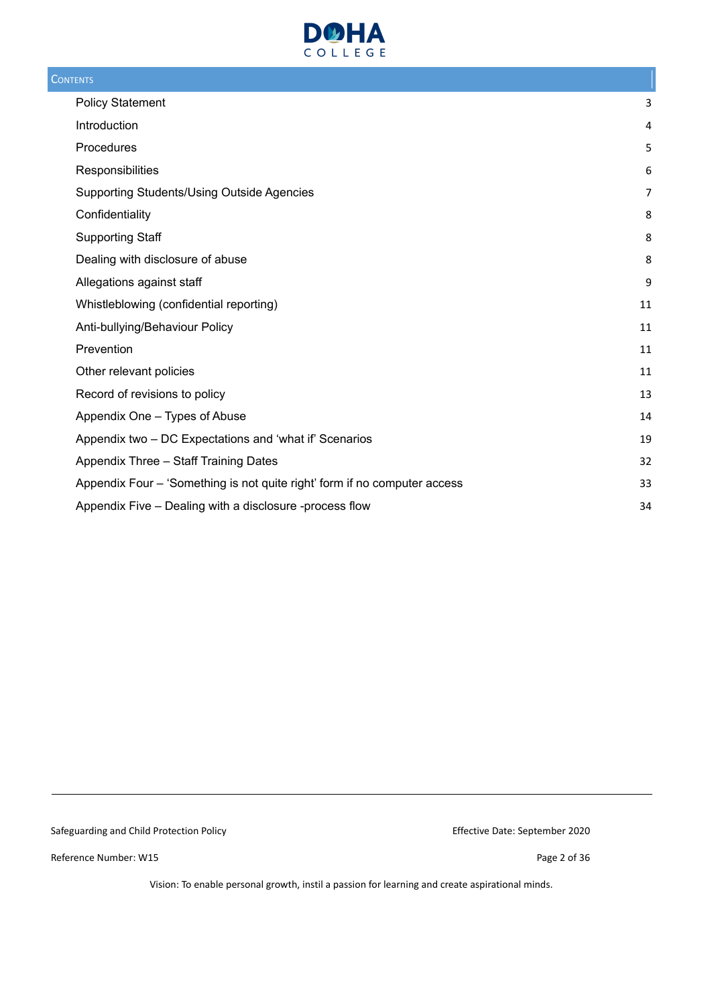

#### **CONTENTS**

| <b>Policy Statement</b>                                                   | 3  |
|---------------------------------------------------------------------------|----|
| Introduction                                                              | 4  |
| Procedures                                                                | 5  |
| Responsibilities                                                          | 6  |
| Supporting Students/Using Outside Agencies                                | 7  |
| Confidentiality                                                           | 8  |
| <b>Supporting Staff</b>                                                   | 8  |
| Dealing with disclosure of abuse                                          | 8  |
| Allegations against staff                                                 | 9  |
| Whistleblowing (confidential reporting)                                   | 11 |
| Anti-bullying/Behaviour Policy                                            | 11 |
| Prevention                                                                | 11 |
| Other relevant policies                                                   | 11 |
| Record of revisions to policy                                             | 13 |
| Appendix One - Types of Abuse                                             | 14 |
| Appendix two - DC Expectations and 'what if' Scenarios                    | 19 |
| Appendix Three - Staff Training Dates                                     | 32 |
| Appendix Four – 'Something is not quite right' form if no computer access | 33 |
| Appendix Five – Dealing with a disclosure -process flow                   | 34 |

Safeguarding and Child Protection Policy **Effective Date: September 2020** 

Reference Number: W15 Page 2 of 36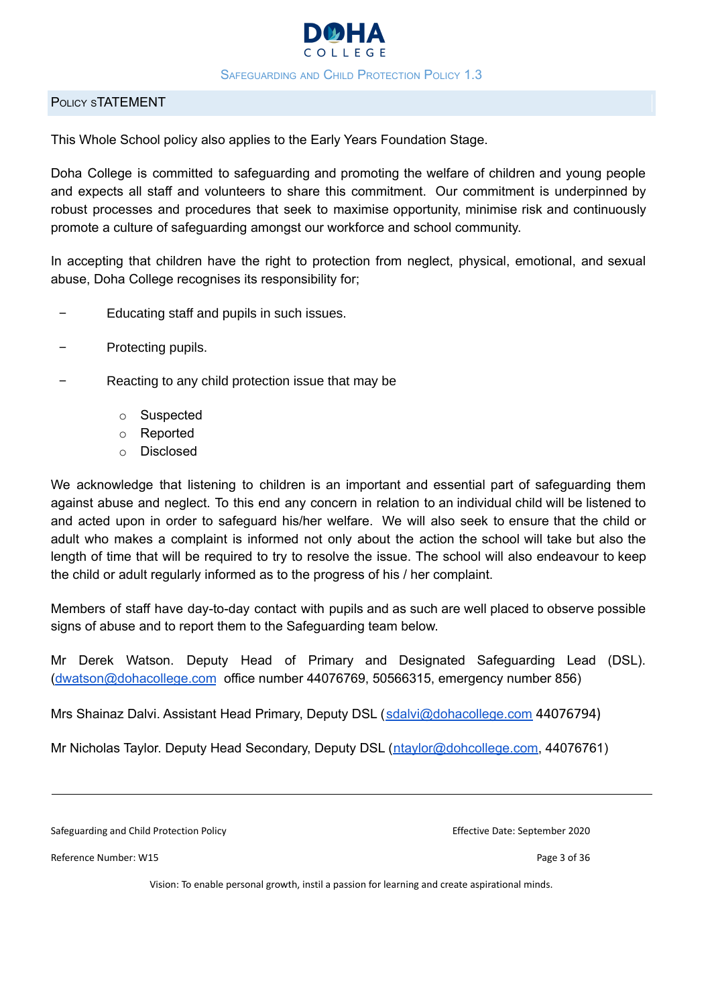

#### SAFEGUARDING AND CHILD PROTECTION POLICY 1.3

#### <span id="page-2-0"></span>POLICY STATEMENT

This Whole School policy also applies to the Early Years Foundation Stage.

Doha College is committed to safeguarding and promoting the welfare of children and young people and expects all staff and volunteers to share this commitment. Our commitment is underpinned by robust processes and procedures that seek to maximise opportunity, minimise risk and continuously promote a culture of safeguarding amongst our workforce and school community.

In accepting that children have the right to protection from neglect, physical, emotional, and sexual abuse, Doha College recognises its responsibility for;

- Educating staff and pupils in such issues.
- − Protecting pupils.
- Reacting to any child protection issue that may be
	- o Suspected
	- o Reported
	- o Disclosed

We acknowledge that listening to children is an important and essential part of safeguarding them against abuse and neglect. To this end any concern in relation to an individual child will be listened to and acted upon in order to safeguard his/her welfare. We will also seek to ensure that the child or adult who makes a complaint is informed not only about the action the school will take but also the length of time that will be required to try to resolve the issue. The school will also endeavour to keep the child or adult regularly informed as to the progress of his / her complaint.

Members of staff have day-to-day contact with pupils and as such are well placed to observe possible signs of abuse and to report them to the Safeguarding team below.

Mr Derek Watson. Deputy Head of Primary and Designated Safeguarding Lead (DSL). [\(dwatson@dohacollege.com](mailto:dwatson@dohacollege.com) office number 44076769, 50566315, emergency number 856)

Mrs Shainaz Dalvi. Assistant Head Primary, Deputy DSL ([sdalvi@dohacollege.com](mailto:sdalvi@dohacollege.com) 44076794)

Mr Nicholas Taylor. Deputy Head Secondary, Deputy DSL ([ntaylor@dohcollege.com,](mailto:ntalor@dohcollege.com) 44076761)

Safeguarding and Child Protection Policy **Example 2020** Effective Date: September 2020

Reference Number: W15 Page 3 of 36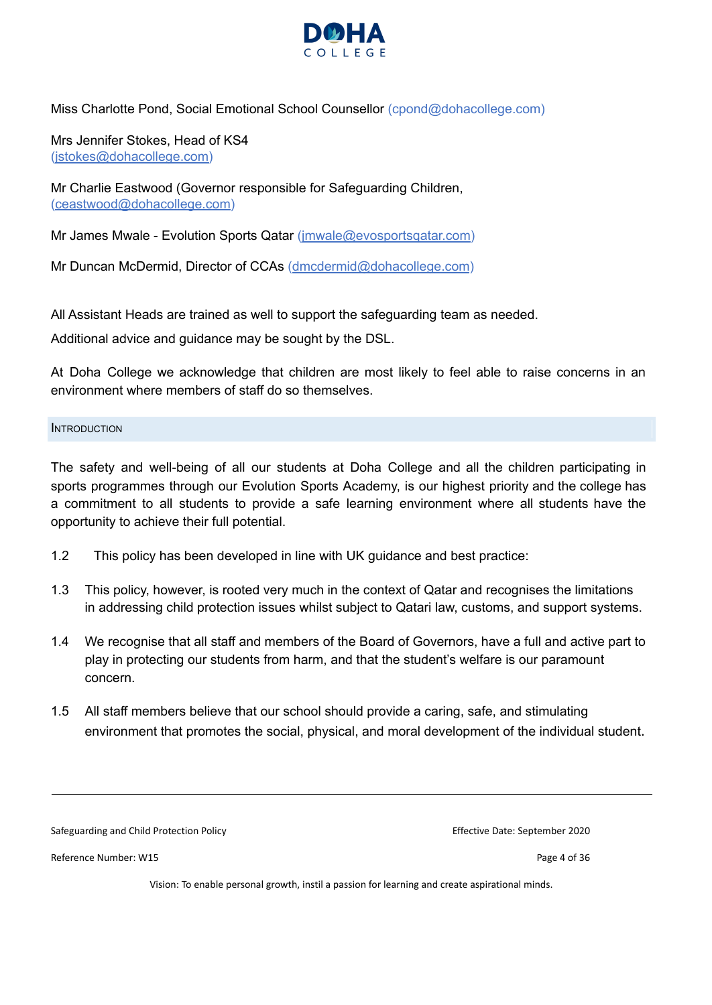

Miss Charlotte Pond, Social Emotional School Counsellor (cpond@dohacollege.com)

Mrs Jennifer Stokes, Head of KS4 [\(jstokes@dohacollege.com\)](mailto:jstokes@dohacollege.com)

Mr Charlie Eastwood (Governor responsible for Safeguarding Children, [\(ceastwood@dohacollege.com](mailto:ceastwood@dohacollege.com))

Mr James Mwale - Evolution Sports Qatar ([jmwale@evosportsqatar.com\)](mailto:jmwale@evosportsqatar.com)

Mr Duncan McDermid, Director of CCAs ([dmcdermid@dohacollege.com](mailto:dmcdermid@dohacollege.com))

All Assistant Heads are trained as well to support the safeguarding team as needed.

Additional advice and guidance may be sought by the DSL.

At Doha College we acknowledge that children are most likely to feel able to raise concerns in an environment where members of staff do so themselves.

#### <span id="page-3-0"></span>**INTRODUCTION**

The safety and well-being of all our students at Doha College and all the children participating in sports programmes through our Evolution Sports Academy, is our highest priority and the college has a commitment to all students to provide a safe learning environment where all students have the opportunity to achieve their full potential.

- 1.2 This policy has been developed in line with UK guidance and best practice:
- 1.3 This policy, however, is rooted very much in the context of Qatar and recognises the limitations in addressing child protection issues whilst subject to Qatari law, customs, and support systems.
- 1.4 We recognise that all staff and members of the Board of Governors, have a full and active part to play in protecting our students from harm, and that the student's welfare is our paramount concern.
- 1.5 All staff members believe that our school should provide a caring, safe, and stimulating environment that promotes the social, physical, and moral development of the individual student.

Safeguarding and Child Protection Policy **Example 2020** Effective Date: September 2020

Reference Number: W15 Page 4 of 36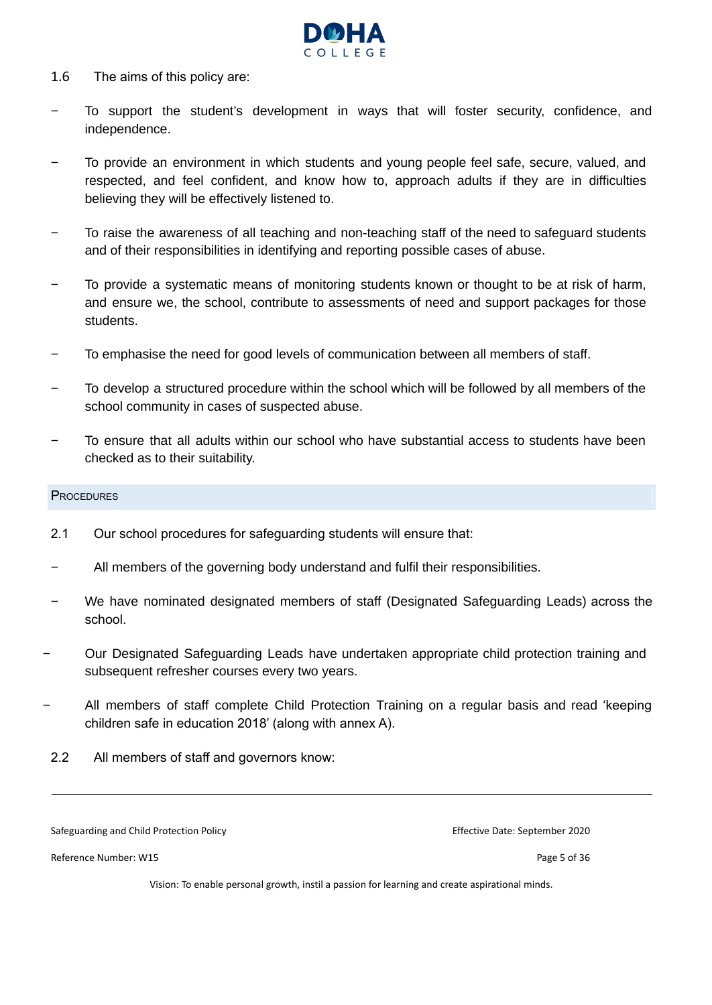

- 1.6 The aims of this policy are:
- To support the student's development in ways that will foster security, confidence, and independence.
- To provide an environment in which students and young people feel safe, secure, valued, and respected, and feel confident, and know how to, approach adults if they are in difficulties believing they will be effectively listened to.
- To raise the awareness of all teaching and non-teaching staff of the need to safeguard students and of their responsibilities in identifying and reporting possible cases of abuse.
- − To provide a systematic means of monitoring students known or thought to be at risk of harm, and ensure we, the school, contribute to assessments of need and support packages for those students.
- To emphasise the need for good levels of communication between all members of staff.
- To develop a structured procedure within the school which will be followed by all members of the school community in cases of suspected abuse.
- − To ensure that all adults within our school who have substantial access to students have been checked as to their suitability.

#### <span id="page-4-0"></span>**PROCEDURES**

- 2.1 Our school procedures for safeguarding students will ensure that:
- All members of the governing body understand and fulfil their responsibilities.
- We have nominated designated members of staff (Designated Safeguarding Leads) across the school.
- − Our Designated Safeguarding Leads have undertaken appropriate child protection training and subsequent refresher courses every two years.
- − All members of staff complete Child Protection Training on a regular basis and read 'keeping children safe in education 2018' (along with annex A).
- 2.2 All members of staff and governors know:

Safeguarding and Child Protection Policy **Example 2020** Effective Date: September 2020

Reference Number: W15 Page 5 of 36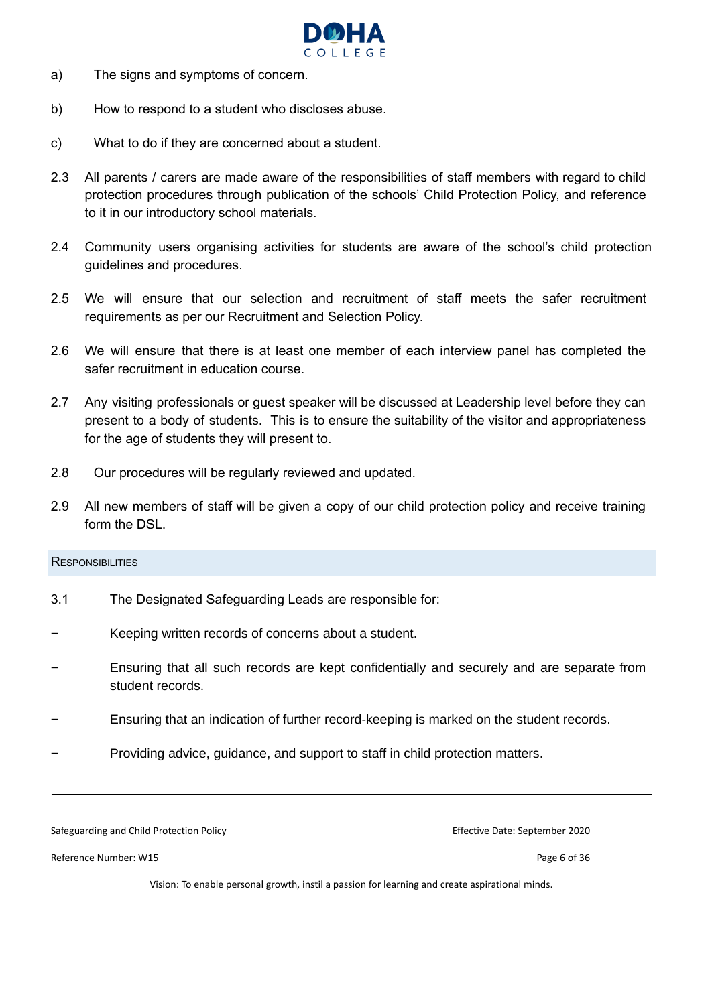

- a) The signs and symptoms of concern.
- b) How to respond to a student who discloses abuse.
- c) What to do if they are concerned about a student.
- 2.3 All parents / carers are made aware of the responsibilities of staff members with regard to child protection procedures through publication of the schools' Child Protection Policy, and reference to it in our introductory school materials.
- 2.4 Community users organising activities for students are aware of the school's child protection guidelines and procedures.
- 2.5 We will ensure that our selection and recruitment of staff meets the safer recruitment requirements as per our Recruitment and Selection Policy.
- 2.6 We will ensure that there is at least one member of each interview panel has completed the safer recruitment in education course.
- 2.7 Any visiting professionals or guest speaker will be discussed at Leadership level before they can present to a body of students. This is to ensure the suitability of the visitor and appropriateness for the age of students they will present to.
- 2.8 Our procedures will be regularly reviewed and updated.
- 2.9 All new members of staff will be given a copy of our child protection policy and receive training form the DSL.

#### <span id="page-5-0"></span>**RESPONSIBILITIES**

- 3.1 The Designated Safeguarding Leads are responsible for:
- Keeping written records of concerns about a student.
- Ensuring that all such records are kept confidentially and securely and are separate from student records.
- Ensuring that an indication of further record-keeping is marked on the student records.
- − Providing advice, guidance, and support to staff in child protection matters.

Safeguarding and Child Protection Policy **Example 2020** Effective Date: September 2020

Reference Number: W15 Page 6 of 36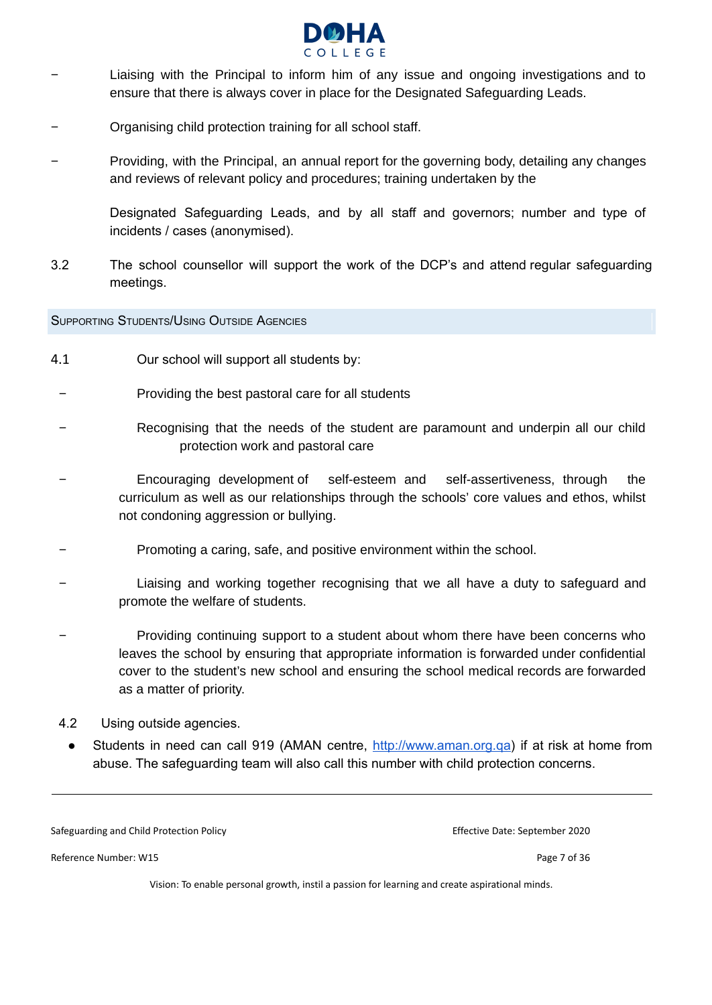

- − Liaising with the Principal to inform him of any issue and ongoing investigations and to ensure that there is always cover in place for the Designated Safeguarding Leads.
- − Organising child protection training for all school staff.
- − Providing, with the Principal, an annual report for the governing body, detailing any changes and reviews of relevant policy and procedures; training undertaken by the

Designated Safeguarding Leads, and by all staff and governors; number and type of incidents / cases (anonymised).

3.2 The school counsellor will support the work of the DCP's and attend regular safeguarding meetings.

#### <span id="page-6-0"></span>SUPPORTING STUDENTS/USING OUTSIDE AGENCIES

- 4.1 Our school will support all students by:
- Providing the best pastoral care for all students
- − Recognising that the needs of the student are paramount and underpin all our child protection work and pastoral care
- Encouraging development of self-esteem and self-assertiveness, through the curriculum as well as our relationships through the schools' core values and ethos, whilst not condoning aggression or bullying.
- − Promoting a caring, safe, and positive environment within the school.
- Liaising and working together recognising that we all have a duty to safeguard and promote the welfare of students.
- − Providing continuing support to a student about whom there have been concerns who leaves the school by ensuring that appropriate information is forwarded under confidential cover to the student's new school and ensuring the school medical records are forwarded as a matter of priority.
- 4.2 Using outside agencies.
- Students in need can call 919 (AMAN centre, [http://www.aman.org.qa\)](http://www.aman.org.qa/En/Pages/Home.aspx) if at risk at home from abuse. The safeguarding team will also call this number with child protection concerns.

Safeguarding and Child Protection Policy **Example 2020** Effective Date: September 2020

Reference Number: W15 Page 7 of 36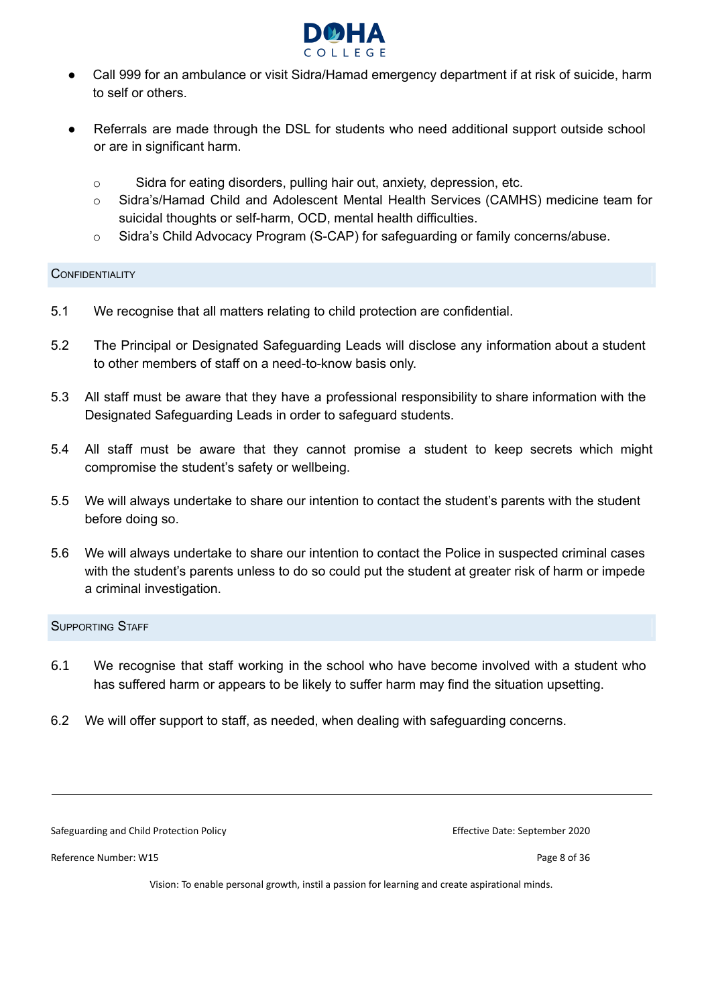

- Call 999 for an ambulance or visit Sidra/Hamad emergency department if at risk of suicide, harm to self or others.
- Referrals are made through the DSL for students who need additional support outside school or are in significant harm.
	- o Sidra for eating disorders, pulling hair out, anxiety, depression, etc.
	- o Sidra's/Hamad Child and Adolescent Mental Health Services (CAMHS) medicine team for suicidal thoughts or self-harm, OCD, mental health difficulties.
	- o Sidra's Child Advocacy Program (S-CAP) for safeguarding or family concerns/abuse.

#### <span id="page-7-0"></span>**CONFIDENTIALITY**

- 5.1 We recognise that all matters relating to child protection are confidential.
- 5.2 The Principal or Designated Safeguarding Leads will disclose any information about a student to other members of staff on a need-to-know basis only.
- 5.3 All staff must be aware that they have a professional responsibility to share information with the Designated Safeguarding Leads in order to safeguard students.
- 5.4 All staff must be aware that they cannot promise a student to keep secrets which might compromise the student's safety or wellbeing.
- 5.5 We will always undertake to share our intention to contact the student's parents with the student before doing so.
- 5.6 We will always undertake to share our intention to contact the Police in suspected criminal cases with the student's parents unless to do so could put the student at greater risk of harm or impede a criminal investigation.

#### <span id="page-7-1"></span>**SUPPORTING STAFF**

- 6.1 We recognise that staff working in the school who have become involved with a student who has suffered harm or appears to be likely to suffer harm may find the situation upsetting.
- 6.2 We will offer support to staff, as needed, when dealing with safeguarding concerns.

Safeguarding and Child Protection Policy **Example 2020** Effective Date: September 2020

Reference Number: W15 Page 8 of 36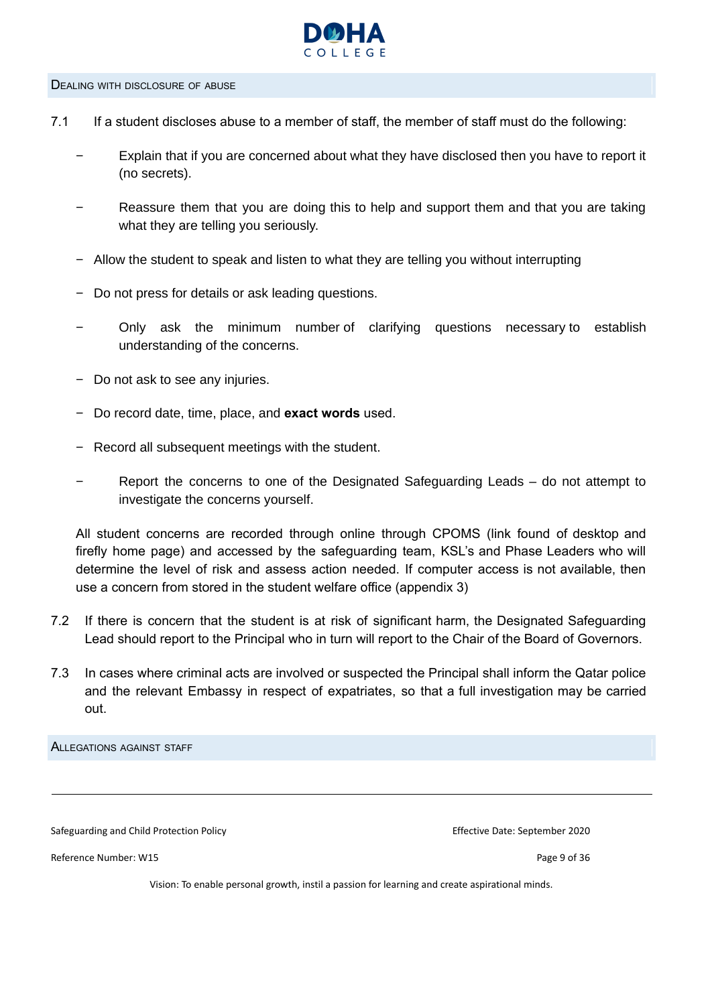

#### <span id="page-8-0"></span>DEALING WITH DISCLOSURE OF ABUSE

- 7.1 If a student discloses abuse to a member of staff, the member of staff must do the following:
	- Explain that if you are concerned about what they have disclosed then you have to report it (no secrets).
	- Reassure them that you are doing this to help and support them and that you are taking what they are telling you seriously.
	- − Allow the student to speak and listen to what they are telling you without interrupting
	- − Do not press for details or ask leading questions.
	- − Only ask the minimum number of clarifying questions necessary to establish understanding of the concerns.
	- − Do not ask to see any injuries.
	- − Do record date, time, place, and **exact words** used.
	- − Record all subsequent meetings with the student.
	- − Report the concerns to one of the Designated Safeguarding Leads do not attempt to investigate the concerns yourself.

All student concerns are recorded through online through CPOMS (link found of desktop and firefly home page) and accessed by the safeguarding team, KSL's and Phase Leaders who will determine the level of risk and assess action needed. If computer access is not available, then use a concern from stored in the student welfare office (appendix 3)

- 7.2 If there is concern that the student is at risk of significant harm, the Designated Safeguarding Lead should report to the Principal who in turn will report to the Chair of the Board of Governors.
- 7.3 In cases where criminal acts are involved or suspected the Principal shall inform the Qatar police and the relevant Embassy in respect of expatriates, so that a full investigation may be carried out.

<span id="page-8-1"></span>ALLEGATIONS AGAINST STAFF

Safeguarding and Child Protection Policy **Example 2020** Effective Date: September 2020

Reference Number: W15 Page 9 of 36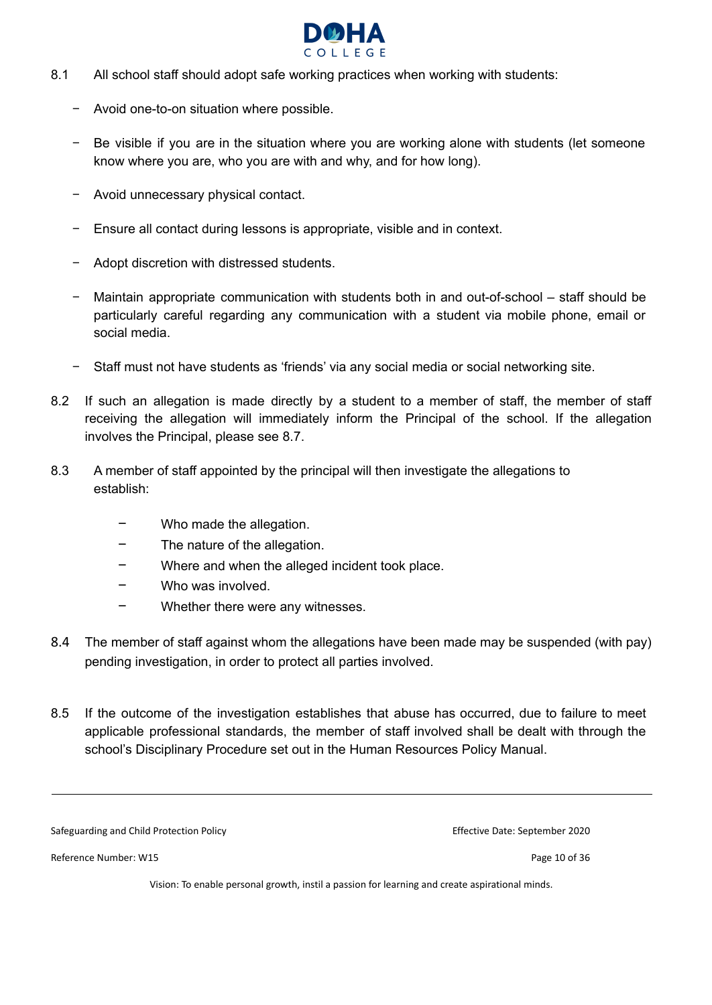

- 8.1 All school staff should adopt safe working practices when working with students:
	- − Avoid one-to-on situation where possible.
	- − Be visible if you are in the situation where you are working alone with students (let someone know where you are, who you are with and why, and for how long).
	- − Avoid unnecessary physical contact.
	- − Ensure all contact during lessons is appropriate, visible and in context.
	- − Adopt discretion with distressed students.
	- − Maintain appropriate communication with students both in and out-of-school staff should be particularly careful regarding any communication with a student via mobile phone, email or social media.
	- − Staff must not have students as 'friends' via any social media or social networking site.
- 8.2 If such an allegation is made directly by a student to a member of staff, the member of staff receiving the allegation will immediately inform the Principal of the school. If the allegation involves the Principal, please see 8.7.
- 8.3 A member of staff appointed by the principal will then investigate the allegations to establish:
	- Who made the allegation.
	- The nature of the allegation.
	- Where and when the alleged incident took place.
	- − Who was involved.
	- − Whether there were any witnesses.
- 8.4 The member of staff against whom the allegations have been made may be suspended (with pay) pending investigation, in order to protect all parties involved.
- 8.5 If the outcome of the investigation establishes that abuse has occurred, due to failure to meet applicable professional standards, the member of staff involved shall be dealt with through the school's Disciplinary Procedure set out in the Human Resources Policy Manual.

Safeguarding and Child Protection Policy **Example 2020** Effective Date: September 2020

Reference Number: W15 Page 10 of 36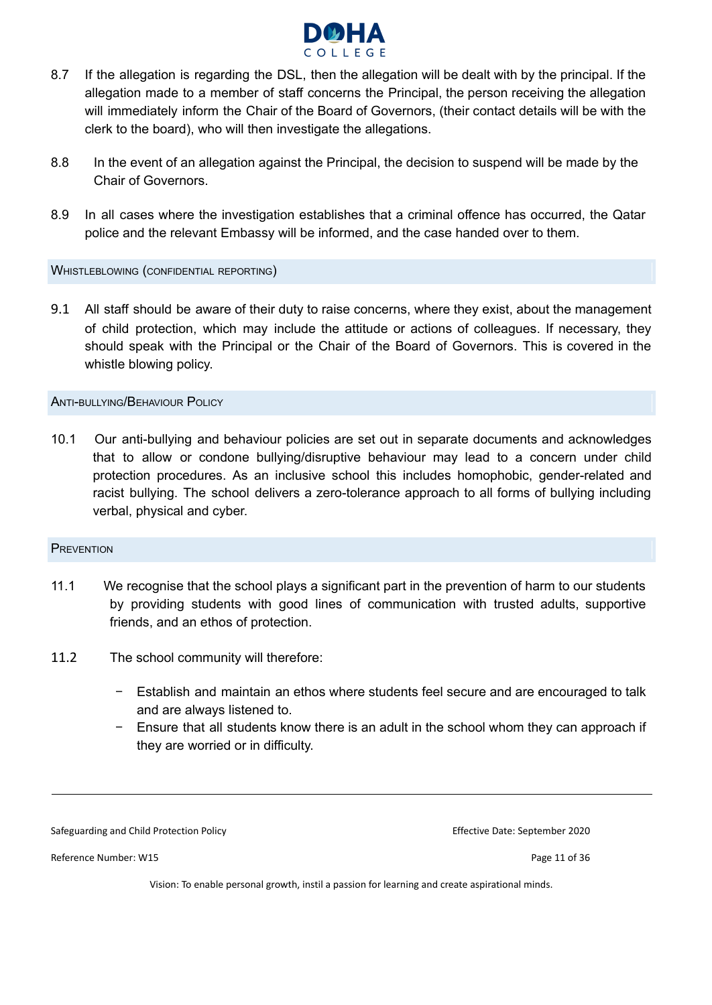

- 8.7 If the allegation is regarding the DSL, then the allegation will be dealt with by the principal. If the allegation made to a member of staff concerns the Principal, the person receiving the allegation will immediately inform the Chair of the Board of Governors, (their contact details will be with the clerk to the board), who will then investigate the allegations.
- 8.8 In the event of an allegation against the Principal, the decision to suspend will be made by the Chair of Governors.
- 8.9 In all cases where the investigation establishes that a criminal offence has occurred, the Qatar police and the relevant Embassy will be informed, and the case handed over to them.

<span id="page-10-0"></span>WHISTLEBLOWING (CONFIDENTIAL REPORTING)

9.1 All staff should be aware of their duty to raise concerns, where they exist, about the management of child protection, which may include the attitude or actions of colleagues. If necessary, they should speak with the Principal or the Chair of the Board of Governors. This is covered in the whistle blowing policy.

<span id="page-10-1"></span>ANTI-BULLYING/BEHAVIOUR POLICY

10.1 Our anti-bullying and behaviour policies are set out in separate documents and acknowledges that to allow or condone bullying/disruptive behaviour may lead to a concern under child protection procedures. As an inclusive school this includes homophobic, gender-related and racist bullying. The school delivers a zero-tolerance approach to all forms of bullying including verbal, physical and cyber.

#### <span id="page-10-2"></span>**PREVENTION**

- 11.1 We recognise that the school plays a significant part in the prevention of harm to our students by providing students with good lines of communication with trusted adults, supportive friends, and an ethos of protection.
- 11.2 The school community will therefore:
	- − Establish and maintain an ethos where students feel secure and are encouraged to talk and are always listened to.
	- − Ensure that all students know there is an adult in the school whom they can approach if they are worried or in difficulty.

Safeguarding and Child Protection Policy **Example 2020** Effective Date: September 2020

Reference Number: W15 Page 11 of 36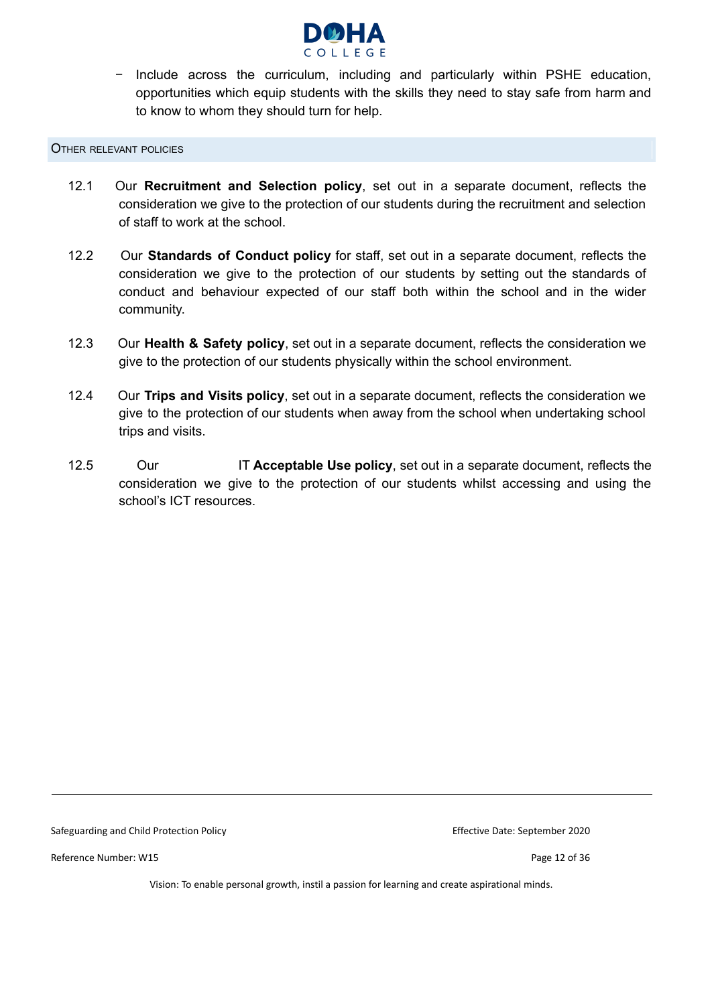

− Include across the curriculum, including and particularly within PSHE education, opportunities which equip students with the skills they need to stay safe from harm and to know to whom they should turn for help.

#### <span id="page-11-0"></span>OTHER RELEVANT POLICIES

- 12.1 Our **Recruitment and Selection policy**, set out in a separate document, reflects the consideration we give to the protection of our students during the recruitment and selection of staff to work at the school.
- 12.2 Our **Standards of Conduct policy** for staff, set out in a separate document, reflects the consideration we give to the protection of our students by setting out the standards of conduct and behaviour expected of our staff both within the school and in the wider community.
- 12.3 Our **Health & Safety policy**, set out in a separate document, reflects the consideration we give to the protection of our students physically within the school environment.
- 12.4 Our **Trips and Visits policy**, set out in a separate document, reflects the consideration we give to the protection of our students when away from the school when undertaking school trips and visits.
- 12.5 Our IT **Acceptable Use policy**, set out in a separate document, reflects the consideration we give to the protection of our students whilst accessing and using the school's ICT resources.

Safeguarding and Child Protection Policy **Example 2020** Effective Date: September 2020

Reference Number: W15 Page 12 of 36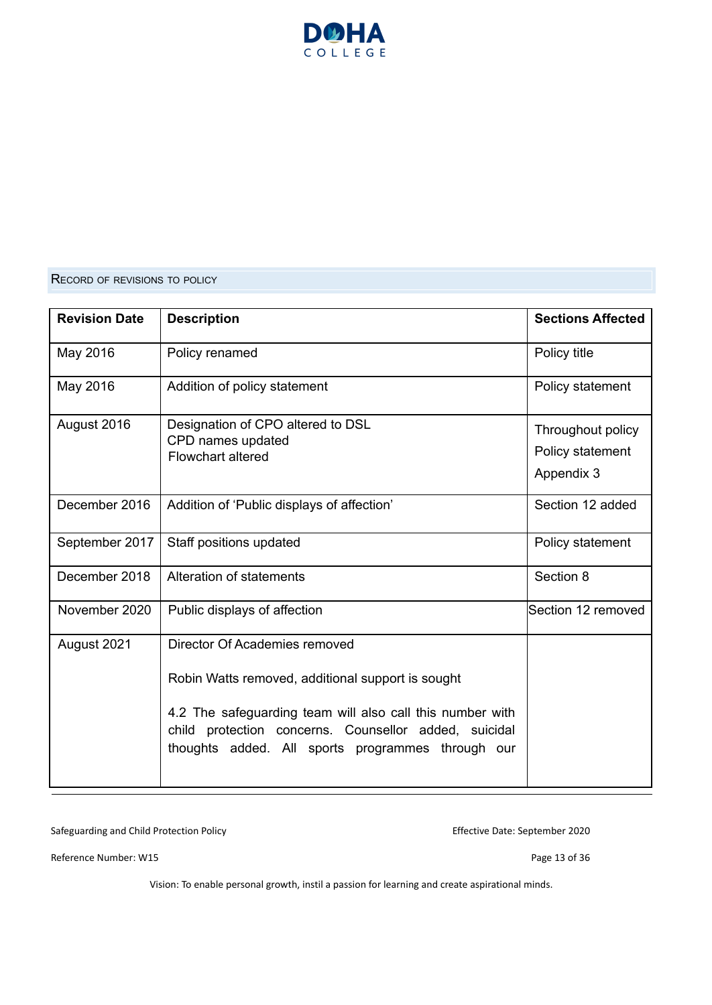

<span id="page-12-0"></span>RECORD OF REVISIONS TO POLICY

| <b>Revision Date</b> | <b>Description</b>                                                                                                                                                                                                                                            | <b>Sections Affected</b>                            |
|----------------------|---------------------------------------------------------------------------------------------------------------------------------------------------------------------------------------------------------------------------------------------------------------|-----------------------------------------------------|
| May 2016             | Policy renamed                                                                                                                                                                                                                                                | Policy title                                        |
| May 2016             | Addition of policy statement                                                                                                                                                                                                                                  | Policy statement                                    |
| August 2016          | Designation of CPO altered to DSL<br>CPD names updated<br><b>Flowchart altered</b>                                                                                                                                                                            | Throughout policy<br>Policy statement<br>Appendix 3 |
| December 2016        | Addition of 'Public displays of affection'                                                                                                                                                                                                                    | Section 12 added                                    |
| September 2017       | Staff positions updated                                                                                                                                                                                                                                       | Policy statement                                    |
| December 2018        | Alteration of statements                                                                                                                                                                                                                                      | Section 8                                           |
| November 2020        | Public displays of affection                                                                                                                                                                                                                                  | Section 12 removed                                  |
| August 2021          | Director Of Academies removed<br>Robin Watts removed, additional support is sought<br>4.2 The safeguarding team will also call this number with<br>child protection concerns. Counsellor added, suicidal<br>thoughts added. All sports programmes through our |                                                     |

Safeguarding and Child Protection Policy **Effective Date: September 2020** 

Reference Number: W15 Page 13 of 36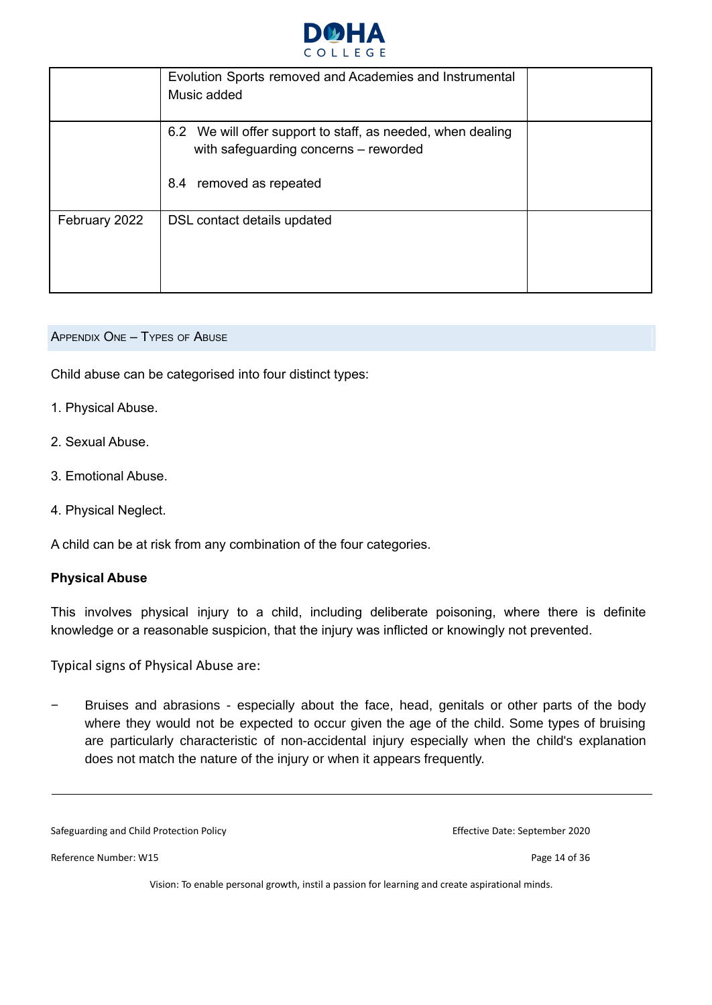

|               | Evolution Sports removed and Academies and Instrumental<br>Music added                                                             |  |
|---------------|------------------------------------------------------------------------------------------------------------------------------------|--|
|               | 6.2 We will offer support to staff, as needed, when dealing<br>with safeguarding concerns - reworded<br>removed as repeated<br>8.4 |  |
| February 2022 | DSL contact details updated                                                                                                        |  |

#### <span id="page-13-0"></span>APPENDIX ONE – TYPES OF ABUSE

Child abuse can be categorised into four distinct types:

- 1. Physical Abuse.
- 2. Sexual Abuse.
- 3. Emotional Abuse.
- 4. Physical Neglect.

A child can be at risk from any combination of the four categories.

#### **Physical Abuse**

This involves physical injury to a child, including deliberate poisoning, where there is definite knowledge or a reasonable suspicion, that the injury was inflicted or knowingly not prevented.

Typical signs of Physical Abuse are:

− Bruises and abrasions - especially about the face, head, genitals or other parts of the body where they would not be expected to occur given the age of the child. Some types of bruising are particularly characteristic of non-accidental injury especially when the child's explanation does not match the nature of the injury or when it appears frequently.

Safeguarding and Child Protection Policy **Example 2020** Effective Date: September 2020

Reference Number: W15 Page 14 of 36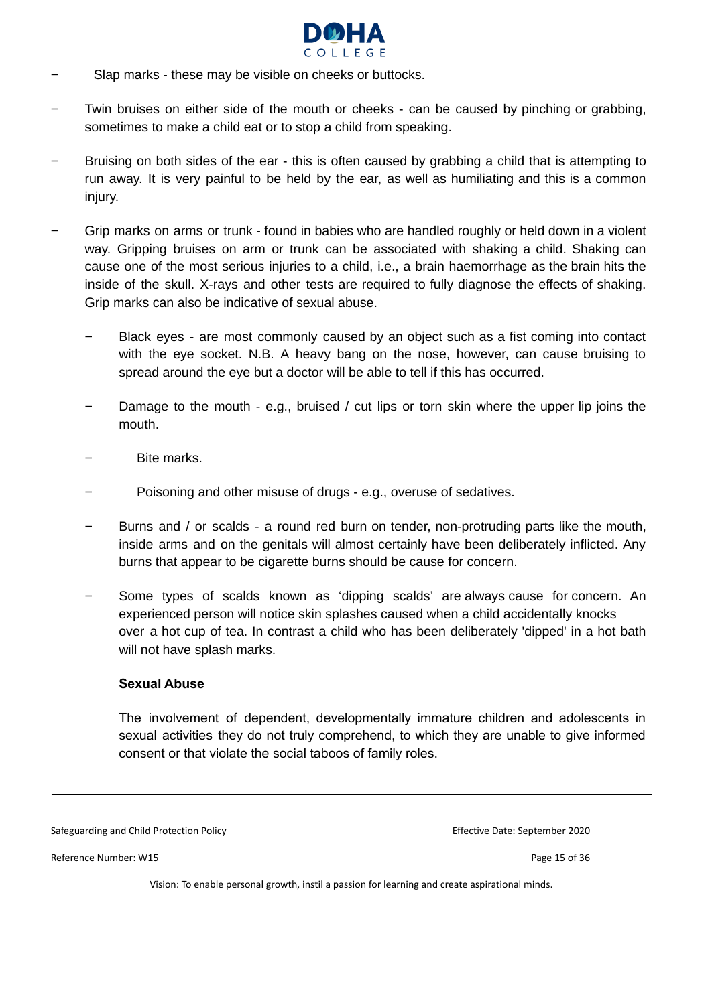

- − Slap marks these may be visible on cheeks or buttocks.
- Twin bruises on either side of the mouth or cheeks can be caused by pinching or grabbing, sometimes to make a child eat or to stop a child from speaking.
- Bruising on both sides of the ear this is often caused by grabbing a child that is attempting to run away. It is very painful to be held by the ear, as well as humiliating and this is a common injury.
- Grip marks on arms or trunk found in babies who are handled roughly or held down in a violent way. Gripping bruises on arm or trunk can be associated with shaking a child. Shaking can cause one of the most serious injuries to a child, i.e., a brain haemorrhage as the brain hits the inside of the skull. X-rays and other tests are required to fully diagnose the effects of shaking. Grip marks can also be indicative of sexual abuse.
	- Black eyes are most commonly caused by an object such as a fist coming into contact with the eye socket. N.B. A heavy bang on the nose, however, can cause bruising to spread around the eye but a doctor will be able to tell if this has occurred.
	- Damage to the mouth e.g., bruised / cut lips or torn skin where the upper lip joins the mouth.
	- Bite marks.
	- Poisoning and other misuse of drugs e.g., overuse of sedatives.
	- Burns and / or scalds a round red burn on tender, non-protruding parts like the mouth, inside arms and on the genitals will almost certainly have been deliberately inflicted. Any burns that appear to be cigarette burns should be cause for concern.
	- Some types of scalds known as 'dipping scalds' are always cause for concern. An experienced person will notice skin splashes caused when a child accidentally knocks over a hot cup of tea. In contrast a child who has been deliberately 'dipped' in a hot bath will not have splash marks.

#### **Sexual Abuse**

The involvement of dependent, developmentally immature children and adolescents in sexual activities they do not truly comprehend, to which they are unable to give informed consent or that violate the social taboos of family roles.

Safeguarding and Child Protection Policy **Example 2020** Effective Date: September 2020

Reference Number: W15 **Page 15** of 36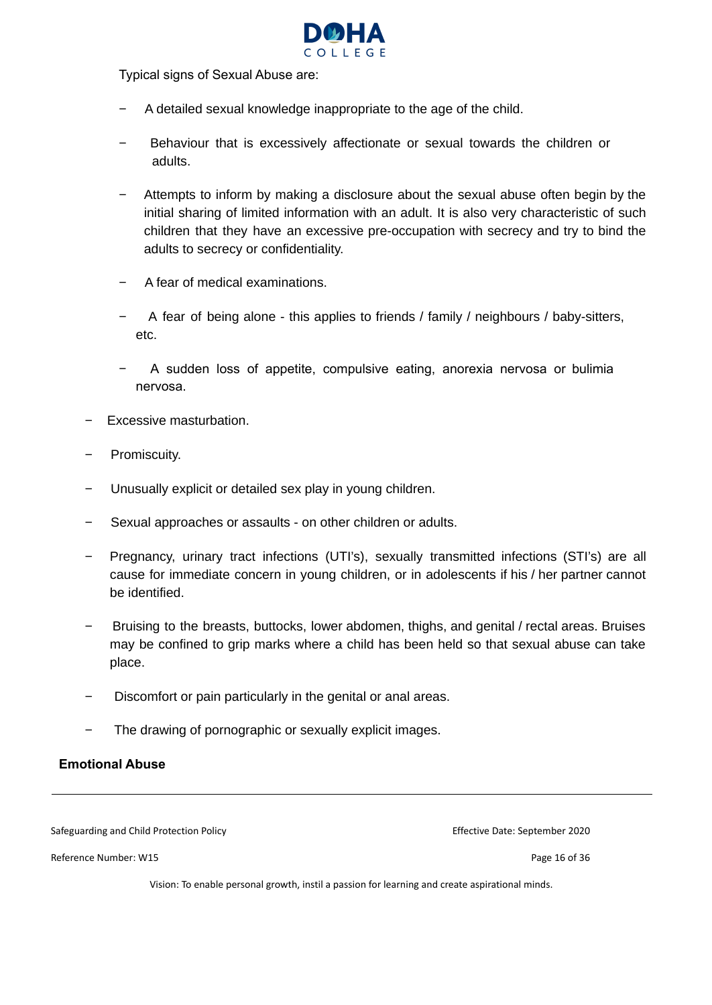

Typical signs of Sexual Abuse are:

- − A detailed sexual knowledge inappropriate to the age of the child.
- Behaviour that is excessively affectionate or sexual towards the children or adults.
- Attempts to inform by making a disclosure about the sexual abuse often begin by the initial sharing of limited information with an adult. It is also very characteristic of such children that they have an excessive pre-occupation with secrecy and try to bind the adults to secrecy or confidentiality.
- − A fear of medical examinations.
- − A fear of being alone this applies to friends / family / neighbours / baby-sitters, etc.
- A sudden loss of appetite, compulsive eating, anorexia nervosa or bulimia nervosa.
- Excessive masturbation.
- − Promiscuity.
- Unusually explicit or detailed sex play in young children.
- Sexual approaches or assaults on other children or adults.
- Pregnancy, urinary tract infections (UTI's), sexually transmitted infections (STI's) are all cause for immediate concern in young children, or in adolescents if his / her partner cannot be identified.
- Bruising to the breasts, buttocks, lower abdomen, thighs, and genital / rectal areas. Bruises may be confined to grip marks where a child has been held so that sexual abuse can take place.
- − Discomfort or pain particularly in the genital or anal areas.
- The drawing of pornographic or sexually explicit images.

#### **Emotional Abuse**

Safeguarding and Child Protection Policy **Example 2020** Effective Date: September 2020

Reference Number: W15 Page 16 of 36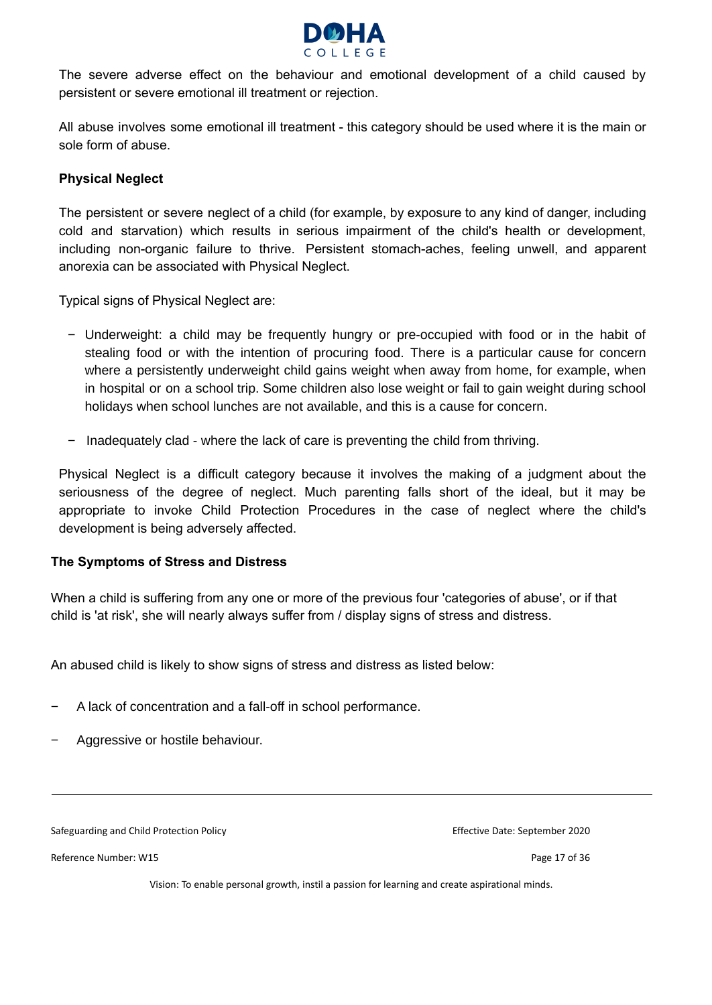

The severe adverse effect on the behaviour and emotional development of a child caused by persistent or severe emotional ill treatment or rejection.

All abuse involves some emotional ill treatment - this category should be used where it is the main or sole form of abuse.

#### **Physical Neglect**

The persistent or severe neglect of a child (for example, by exposure to any kind of danger, including cold and starvation) which results in serious impairment of the child's health or development, including non-organic failure to thrive. Persistent stomach-aches, feeling unwell, and apparent anorexia can be associated with Physical Neglect.

Typical signs of Physical Neglect are:

- − Underweight: a child may be frequently hungry or pre-occupied with food or in the habit of stealing food or with the intention of procuring food. There is a particular cause for concern where a persistently underweight child gains weight when away from home, for example, when in hospital or on a school trip. Some children also lose weight or fail to gain weight during school holidays when school lunches are not available, and this is a cause for concern.
- − Inadequately clad where the lack of care is preventing the child from thriving.

Physical Neglect is a difficult category because it involves the making of a judgment about the seriousness of the degree of neglect. Much parenting falls short of the ideal, but it may be appropriate to invoke Child Protection Procedures in the case of neglect where the child's development is being adversely affected.

#### **The Symptoms of Stress and Distress**

When a child is suffering from any one or more of the previous four 'categories of abuse', or if that child is 'at risk', she will nearly always suffer from / display signs of stress and distress.

An abused child is likely to show signs of stress and distress as listed below:

- − A lack of concentration and a fall-off in school performance.
- − Aggressive or hostile behaviour.

Safeguarding and Child Protection Policy **Example 2020** Effective Date: September 2020

Reference Number: W15 Page 17 of 36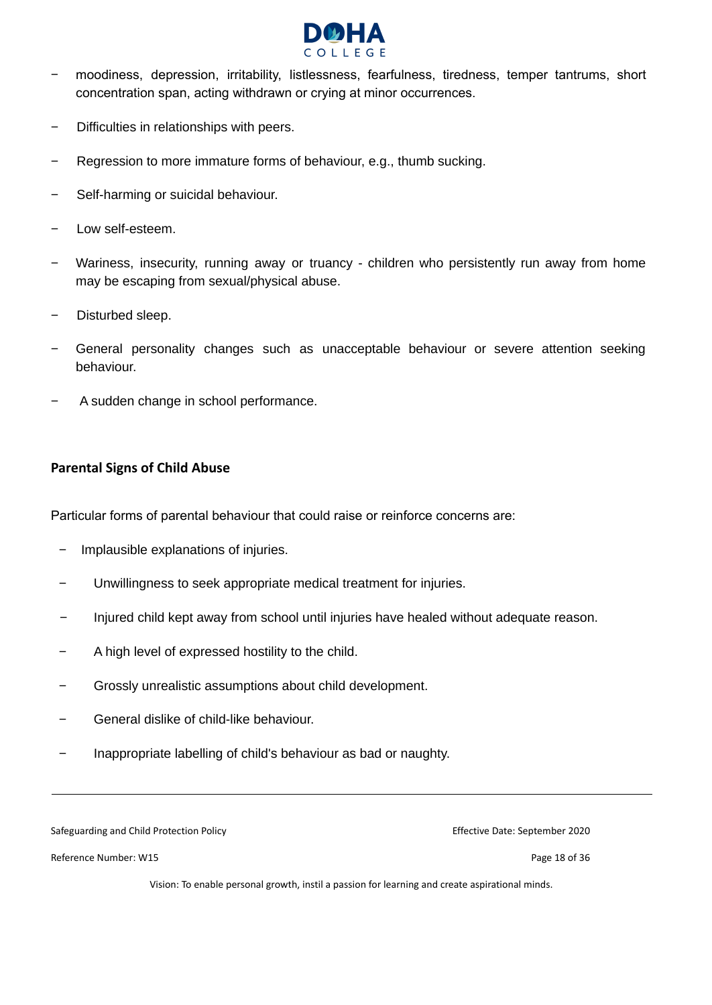

- − moodiness, depression, irritability, listlessness, fearfulness, tiredness, temper tantrums, short concentration span, acting withdrawn or crying at minor occurrences.
- − Difficulties in relationships with peers.
- Regression to more immature forms of behaviour, e.g., thumb sucking.
- − Self-harming or suicidal behaviour.
- Low self-esteem.
- Wariness, insecurity, running away or truancy children who persistently run away from home may be escaping from sexual/physical abuse.
- Disturbed sleep.
- − General personality changes such as unacceptable behaviour or severe attention seeking behaviour.
- − A sudden change in school performance.

#### **Parental Signs of Child Abuse**

Particular forms of parental behaviour that could raise or reinforce concerns are:

- − Implausible explanations of injuries.
- Unwillingness to seek appropriate medical treatment for injuries.
- − Injured child kept away from school until injuries have healed without adequate reason.
- − A high level of expressed hostility to the child.
- Grossly unrealistic assumptions about child development.
- − General dislike of child-like behaviour.
- Inappropriate labelling of child's behaviour as bad or naughty.

Safeguarding and Child Protection Policy **Example 2020** Effective Date: September 2020

Reference Number: W15 Page 18 of 36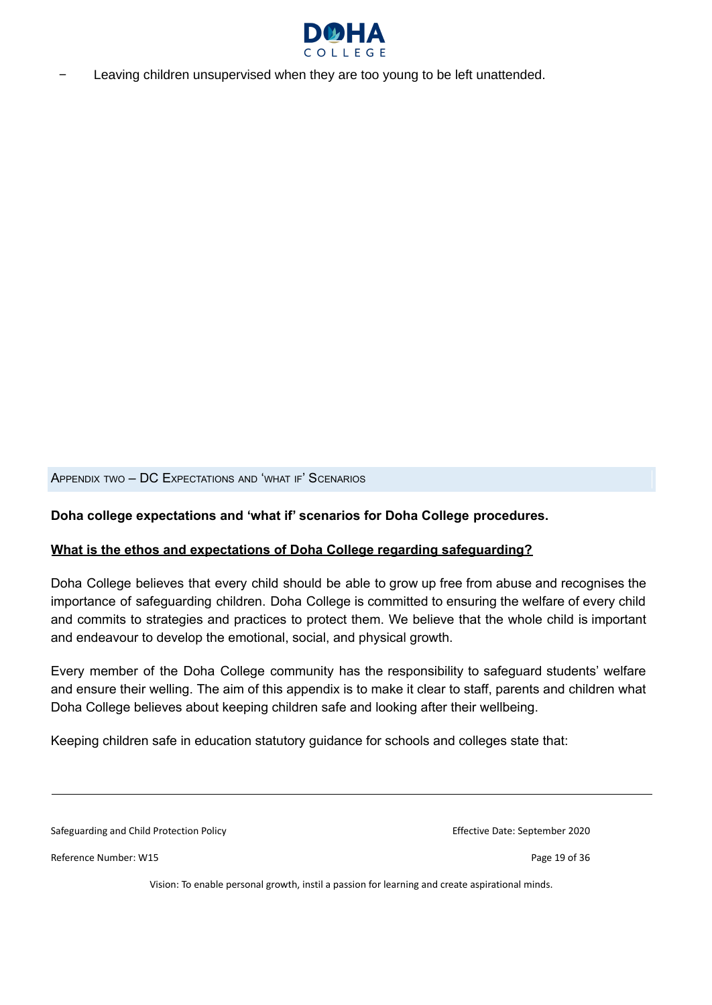

#### Leaving children unsupervised when they are too young to be left unattended.

<span id="page-18-0"></span>APPENDIX TWO – DC EXPECTATIONS AND 'WHAT IF' SCENARIOS

#### **Doha college expectations and 'what if' scenarios for Doha College procedures.**

#### **What is the ethos and expectations of Doha College regarding safeguarding?**

Doha College believes that every child should be able to grow up free from abuse and recognises the importance of safeguarding children. Doha College is committed to ensuring the welfare of every child and commits to strategies and practices to protect them. We believe that the whole child is important and endeavour to develop the emotional, social, and physical growth.

Every member of the Doha College community has the responsibility to safeguard students' welfare and ensure their welling. The aim of this appendix is to make it clear to staff, parents and children what Doha College believes about keeping children safe and looking after their wellbeing.

Keeping children safe in education statutory guidance for schools and colleges state that:

Safeguarding and Child Protection Policy **Example 2020** Effective Date: September 2020

Reference Number: W15 Page 19 of 36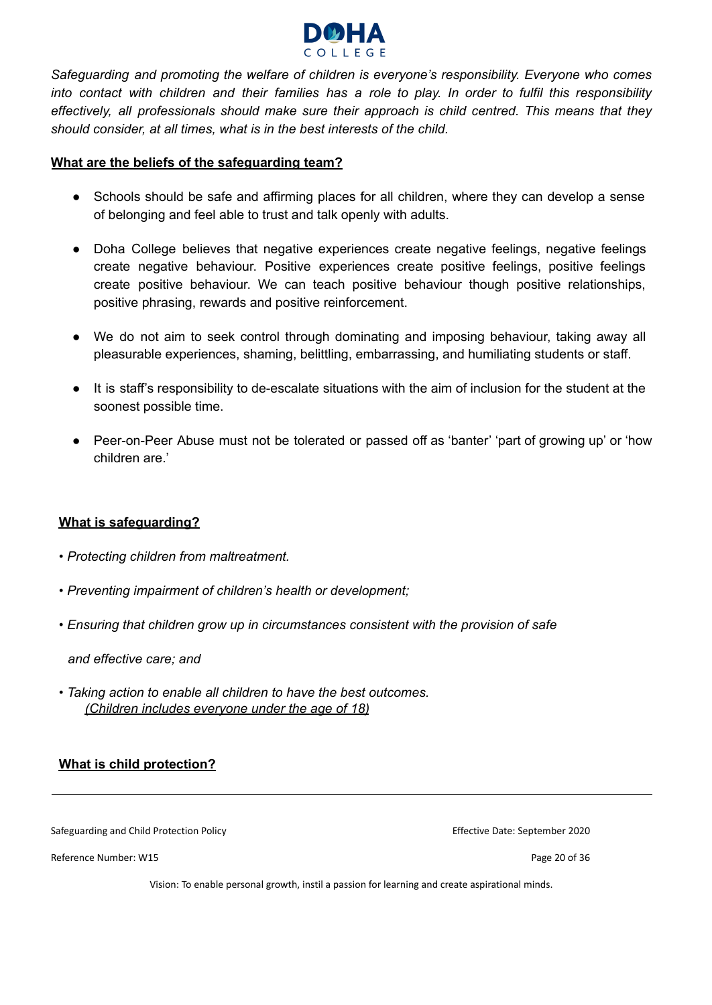

*Safeguarding and promoting the welfare of children is everyone's responsibility. Everyone who comes* into contact with children and their families has a role to play. In order to fulfil this responsibility *effectively, all professionals should make sure their approach is child centred. This means that they should consider, at all times, what is in the best interests of the child.*

#### **What are the beliefs of the safeguarding team?**

- Schools should be safe and affirming places for all children, where they can develop a sense of belonging and feel able to trust and talk openly with adults.
- Doha College believes that negative experiences create negative feelings, negative feelings create negative behaviour. Positive experiences create positive feelings, positive feelings create positive behaviour. We can teach positive behaviour though positive relationships, positive phrasing, rewards and positive reinforcement.
- We do not aim to seek control through dominating and imposing behaviour, taking away all pleasurable experiences, shaming, belittling, embarrassing, and humiliating students or staff.
- It is staff's responsibility to de-escalate situations with the aim of inclusion for the student at the soonest possible time.
- Peer-on-Peer Abuse must not be tolerated or passed off as 'banter' 'part of growing up' or 'how children are.'

#### **What is safeguarding?**

- *• Protecting children from maltreatment.*
- *• Preventing impairment of children's health or development;*
- *• Ensuring that children grow up in circumstances consistent with the provision of safe*

*and effective care; and*

*• Taking action to enable all children to have the best outcomes. (Children includes everyone under the age of 18)*

#### **What is child protection?**

Safeguarding and Child Protection Policy **Example 2020** Effective Date: September 2020

Reference Number: W15 Page 20 of 36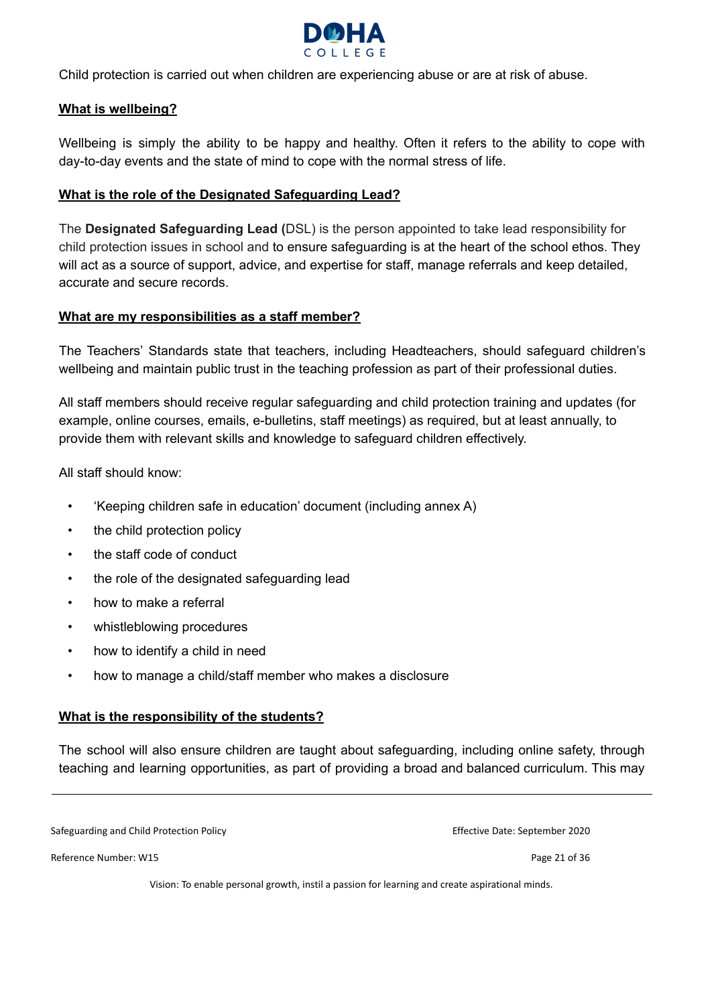

Child protection is carried out when children are experiencing abuse or are at risk of abuse.

#### **What is wellbeing?**

Wellbeing is simply the ability to be happy and healthy. Often it refers to the ability to cope with day-to-day events and the state of mind to cope with the normal stress of life.

#### **What is the role of the Designated Safeguarding Lead?**

The **Designated Safeguarding Lead (**DSL) is the person appointed to take lead responsibility for child protection issues in school and to ensure safeguarding is at the heart of the school ethos. They will act as a source of support, advice, and expertise for staff, manage referrals and keep detailed, accurate and secure records.

#### **What are my responsibilities as a staff member?**

The Teachers' Standards state that teachers, including Headteachers, should safeguard children's wellbeing and maintain public trust in the teaching profession as part of their professional duties.

All staff members should receive regular safeguarding and child protection training and updates (for example, online courses, emails, e-bulletins, staff meetings) as required, but at least annually, to provide them with relevant skills and knowledge to safeguard children effectively.

All staff should know:

- 'Keeping children safe in education' document (including annex A)
- the child protection policy
- the staff code of conduct
- the role of the designated safeguarding lead
- how to make a referral
- whistleblowing procedures
- how to identify a child in need
- how to manage a child/staff member who makes a disclosure

#### **What is the responsibility of the students?**

The school will also ensure children are taught about safeguarding, including online safety, through teaching and learning opportunities, as part of providing a broad and balanced curriculum. This may

Safeguarding and Child Protection Policy **Example 2020** Effective Date: September 2020

Reference Number: W15 Page 21 of 36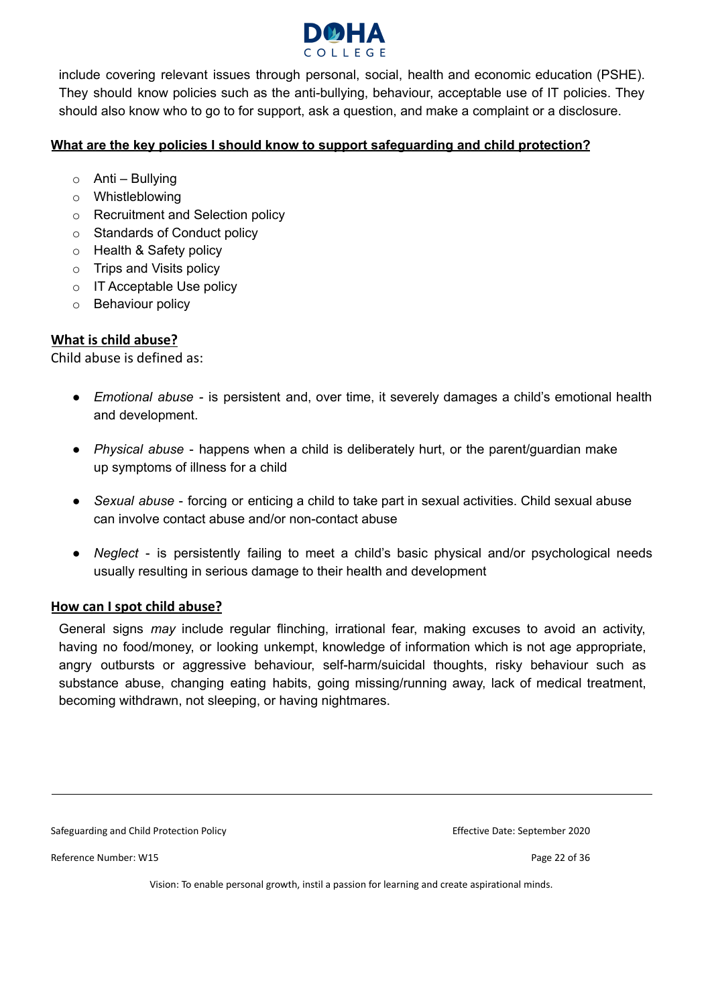

include covering relevant issues through personal, social, health and economic education (PSHE). They should know policies such as the anti-bullying, behaviour, acceptable use of IT policies. They should also know who to go to for support, ask a question, and make a complaint or a disclosure.

#### **What are the key policies I should know to support safeguarding and child protection?**

- $\circ$  Anti Bullying
- o Whistleblowing
- o Recruitment and Selection policy
- o Standards of Conduct policy
- o Health & Safety policy
- o Trips and Visits policy
- o IT Acceptable Use policy
- o Behaviour policy

#### **What is child abuse?**

Child abuse is defined as:

- *Emotional abuse -* is persistent and, over time, it severely damages a child's emotional health and development.
- *Physical abuse* happens when a child is deliberately hurt, or the parent/guardian make up symptoms of illness for a child
- *Sexual abuse* forcing or enticing a child to take part in sexual activities. Child sexual abuse can involve contact abuse and/or non-contact abuse
- *Neglect* is persistently failing to meet a child's basic physical and/or psychological needs usually resulting in serious damage to their health and development

#### **How can I spot child abuse?**

General signs *may* include regular flinching, irrational fear, making excuses to avoid an activity, having no food/money, or looking unkempt, knowledge of information which is not age appropriate, angry outbursts or aggressive behaviour, self-harm/suicidal thoughts, risky behaviour such as substance abuse, changing eating habits, going missing/running away, lack of medical treatment, becoming withdrawn, not sleeping, or having nightmares.

Safeguarding and Child Protection Policy **Example 2020** Effective Date: September 2020

Reference Number: W15 Page 22 of 36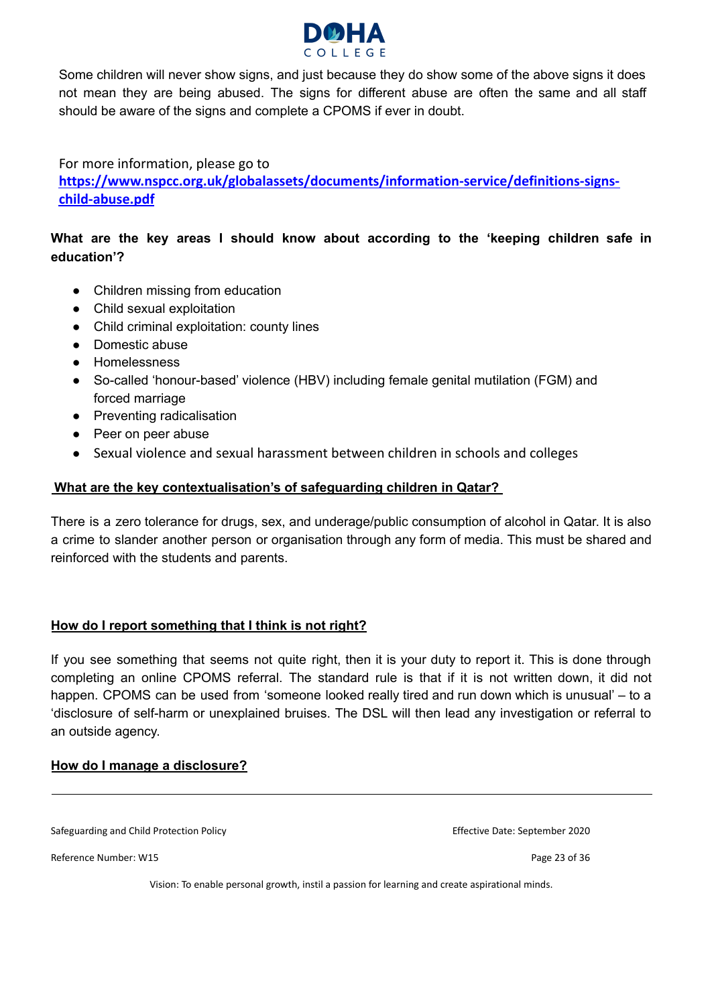

Some children will never show signs, and just because they do show some of the above signs it does not mean they are being abused. The signs for different abuse are often the same and all staff should be aware of the signs and complete a CPOMS if ever in doubt.

For more information, please go to

**[https://www.nspcc.org.uk/globalassets/documents/information-service/definitions-signs](https://www.nspcc.org.uk/globalassets/documents/information-service/definitions-signs-child-abuse.pdf)[child-abuse.pdf](https://www.nspcc.org.uk/globalassets/documents/information-service/definitions-signs-child-abuse.pdf)**

#### **What are the key areas I should know about according to the 'keeping children safe in education'?**

- Children missing from education
- Child sexual exploitation
- Child criminal exploitation: county lines
- Domestic abuse
- Homelessness
- So-called 'honour-based' violence (HBV) including female genital mutilation (FGM) and forced marriage
- Preventing radicalisation
- Peer on peer abuse
- Sexual violence and sexual harassment between children in schools and colleges

#### **What are the key contextualisation's of safeguarding children in Qatar?**

There is a zero tolerance for drugs, sex, and underage/public consumption of alcohol in Qatar. It is also a crime to slander another person or organisation through any form of media. This must be shared and reinforced with the students and parents.

#### **How do I report something that I think is not right?**

If you see something that seems not quite right, then it is your duty to report it. This is done through completing an online CPOMS referral. The standard rule is that if it is not written down, it did not happen. CPOMS can be used from 'someone looked really tired and run down which is unusual' – to a 'disclosure of self-harm or unexplained bruises. The DSL will then lead any investigation or referral to an outside agency.

#### **How do I manage a disclosure?**

Safeguarding and Child Protection Policy **Example 2020** Effective Date: September 2020

Reference Number: W15 Page 23 of 36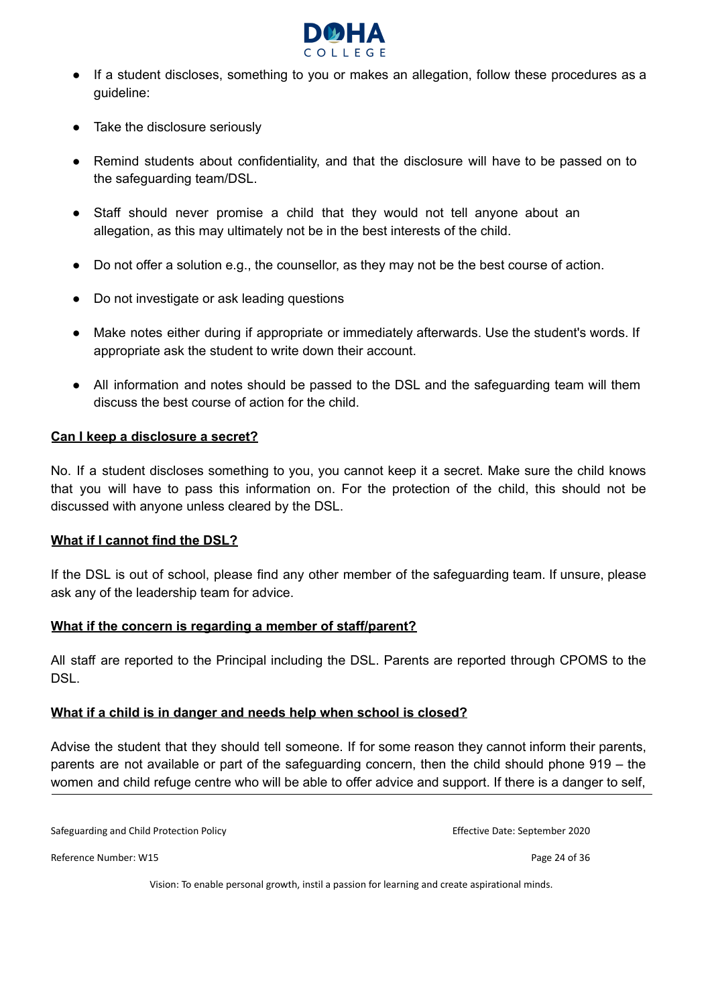

- If a student discloses, something to you or makes an allegation, follow these procedures as a guideline:
- Take the disclosure seriously
- Remind students about confidentiality, and that the disclosure will have to be passed on to the safeguarding team/DSL.
- Staff should never promise a child that they would not tell anyone about an allegation, as this may ultimately not be in the best interests of the child.
- Do not offer a solution e.g., the counsellor, as they may not be the best course of action.
- Do not investigate or ask leading questions
- Make notes either during if appropriate or immediately afterwards. Use the student's words. If appropriate ask the student to write down their account.
- All information and notes should be passed to the DSL and the safeguarding team will them discuss the best course of action for the child.

#### **Can I keep a disclosure a secret?**

No. If a student discloses something to you, you cannot keep it a secret. Make sure the child knows that you will have to pass this information on. For the protection of the child, this should not be discussed with anyone unless cleared by the DSL.

#### **What if I cannot find the DSL?**

If the DSL is out of school, please find any other member of the safeguarding team. If unsure, please ask any of the leadership team for advice.

#### **What if the concern is regarding a member of staff/parent?**

All staff are reported to the Principal including the DSL. Parents are reported through CPOMS to the DSL.

#### **What if a child is in danger and needs help when school is closed?**

Advise the student that they should tell someone. If for some reason they cannot inform their parents, parents are not available or part of the safeguarding concern, then the child should phone 919 – the women and child refuge centre who will be able to offer advice and support. If there is a danger to self,

Safeguarding and Child Protection Policy **Example 2020** Effective Date: September 2020

Reference Number: W15 Page 24 of 36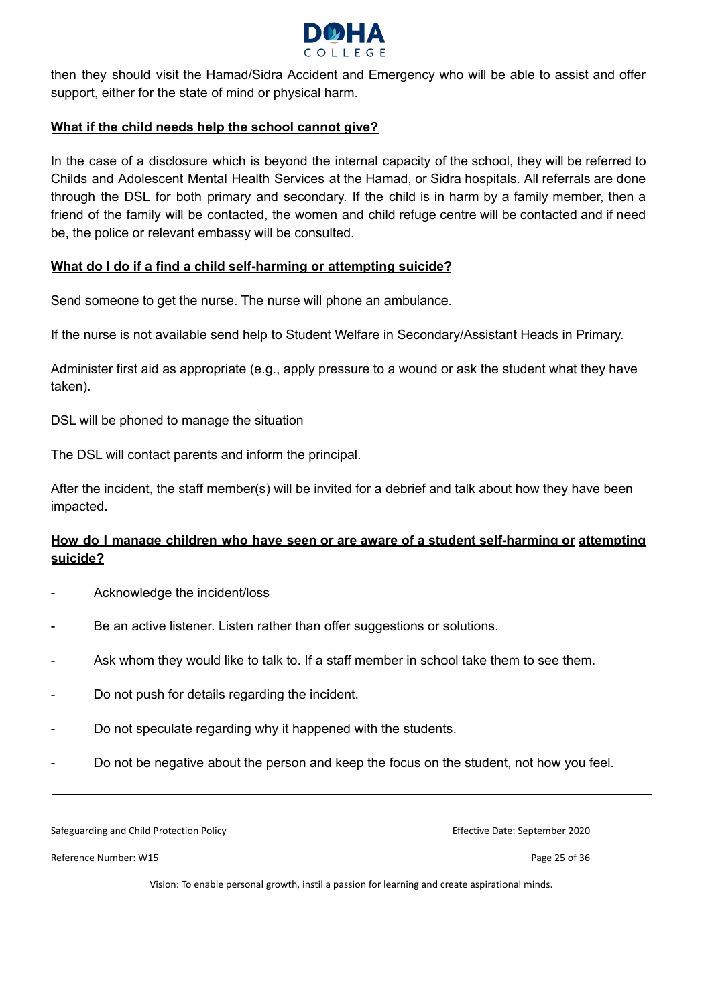

then they should visit the Hamad/Sidra Accident and Emergency who will be able to assist and offer support, either for the state of mind or physical harm.

#### **What if the child needs help the school cannot give?**

In the case of a disclosure which is beyond the internal capacity of the school, they will be referred to Childs and Adolescent Mental Health Services at the Hamad, or Sidra hospitals. All referrals are done through the DSL for both primary and secondary. If the child is in harm by a family member, then a friend of the family will be contacted, the women and child refuge centre will be contacted and if need be, the police or relevant embassy will be consulted.

#### **What do I do if a find a child self-harming or attempting suicide?**

Send someone to get the nurse. The nurse will phone an ambulance.

If the nurse is not available send help to Student Welfare in Secondary/Assistant Heads in Primary.

Administer first aid as appropriate (e.g., apply pressure to a wound or ask the student what they have taken).

DSL will be phoned to manage the situation

The DSL will contact parents and inform the principal.

After the incident, the staff member(s) will be invited for a debrief and talk about how they have been impacted.

#### **How do I manage children who have seen or are aware of a student self-harming or attempting suicide?**

- Acknowledge the incident/loss
- Be an active listener. Listen rather than offer suggestions or solutions.
- Ask whom they would like to talk to. If a staff member in school take them to see them.
- Do not push for details regarding the incident.
- Do not speculate regarding why it happened with the students.
- Do not be negative about the person and keep the focus on the student, not how you feel.

Safeguarding and Child Protection Policy **Example 2020** Effective Date: September 2020

Reference Number: W15 **Page 25 of 36** Page 25 of 36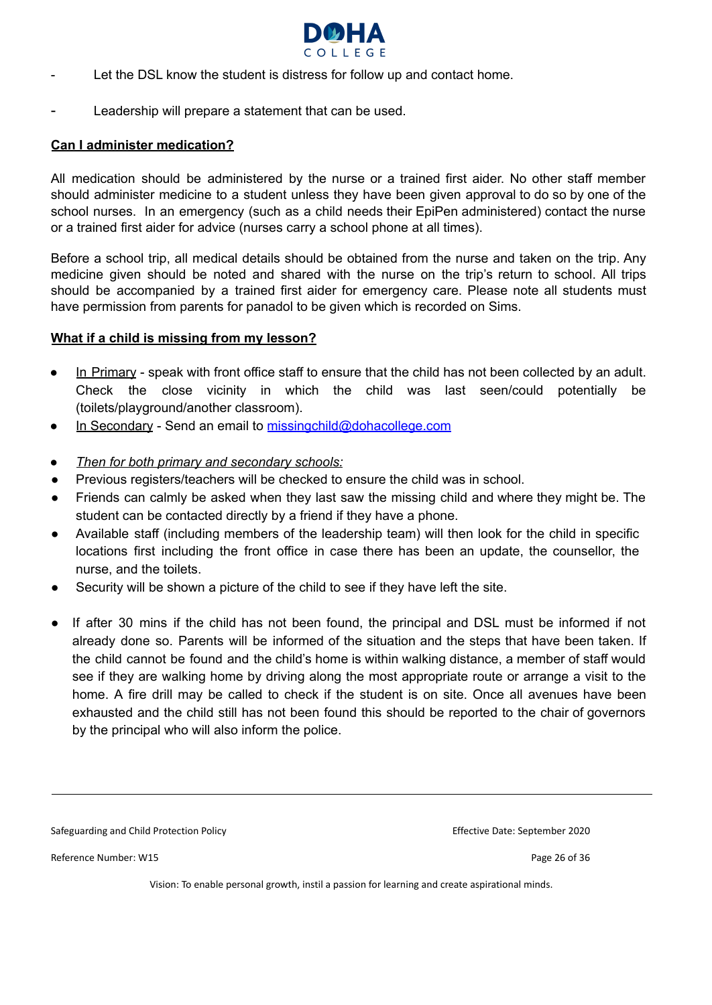

- Let the DSL know the student is distress for follow up and contact home.
- Leadership will prepare a statement that can be used.

#### **Can I administer medication?**

All medication should be administered by the nurse or a trained first aider. No other staff member should administer medicine to a student unless they have been given approval to do so by one of the school nurses. In an emergency (such as a child needs their EpiPen administered) contact the nurse or a trained first aider for advice (nurses carry a school phone at all times).

Before a school trip, all medical details should be obtained from the nurse and taken on the trip. Any medicine given should be noted and shared with the nurse on the trip's return to school. All trips should be accompanied by a trained first aider for emergency care. Please note all students must have permission from parents for panadol to be given which is recorded on Sims.

#### **What if a child is missing from my lesson?**

- In Primary speak with front office staff to ensure that the child has not been collected by an adult. Check the close vicinity in which the child was last seen/could potentially be (toilets/playground/another classroom).
- In Secondary Send an email to [missingchild@dohacollege.com](mailto:missingchild@dohacollege.com%20)
- *Then for both primary and secondary schools:*
- Previous registers/teachers will be checked to ensure the child was in school.
- Friends can calmly be asked when they last saw the missing child and where they might be. The student can be contacted directly by a friend if they have a phone.
- Available staff (including members of the leadership team) will then look for the child in specific locations first including the front office in case there has been an update, the counsellor, the nurse, and the toilets.
- Security will be shown a picture of the child to see if they have left the site.
- If after 30 mins if the child has not been found, the principal and DSL must be informed if not already done so. Parents will be informed of the situation and the steps that have been taken. If the child cannot be found and the child's home is within walking distance, a member of staff would see if they are walking home by driving along the most appropriate route or arrange a visit to the home. A fire drill may be called to check if the student is on site. Once all avenues have been exhausted and the child still has not been found this should be reported to the chair of governors by the principal who will also inform the police.

Safeguarding and Child Protection Policy **Example 2020** Effective Date: September 2020

Reference Number: W15 **Page 26** of 36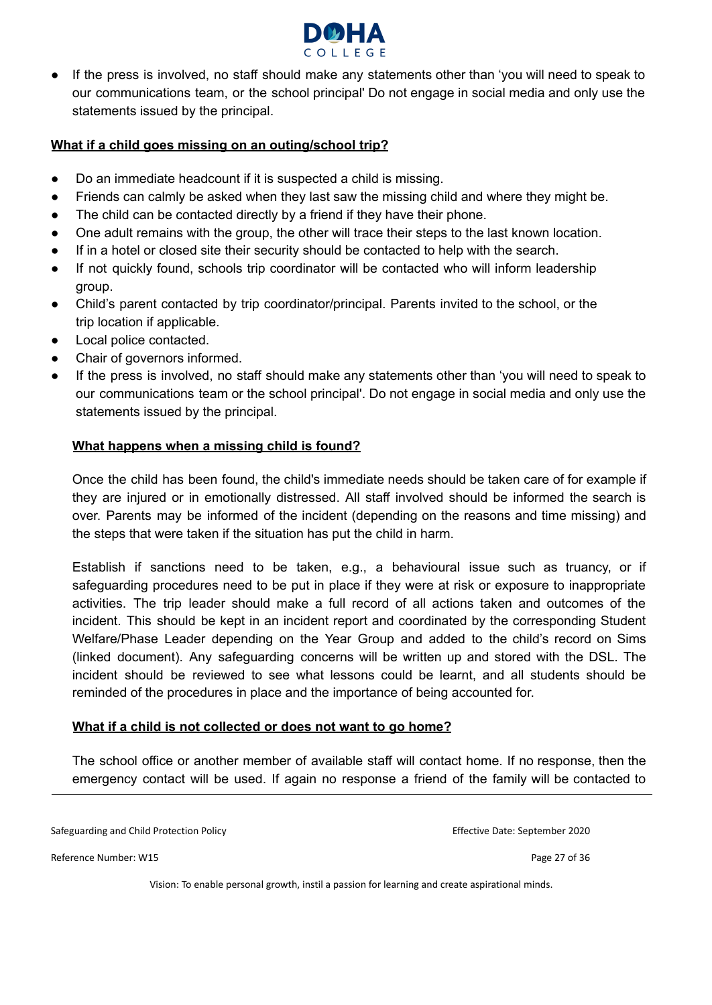

● If the press is involved, no staff should make any statements other than 'you will need to speak to our communications team, or the school principal' Do not engage in social media and only use the statements issued by the principal.

#### **What if a child goes missing on an outing/school trip?**

- Do an immediate headcount if it is suspected a child is missing.
- Friends can calmly be asked when they last saw the missing child and where they might be.
- The child can be contacted directly by a friend if they have their phone.
- One adult remains with the group, the other will trace their steps to the last known location.
- If in a hotel or closed site their security should be contacted to help with the search.
- If not quickly found, schools trip coordinator will be contacted who will inform leadership group.
- Child's parent contacted by trip coordinator/principal. Parents invited to the school, or the trip location if applicable.
- Local police contacted.
- Chair of governors informed.
- If the press is involved, no staff should make any statements other than 'you will need to speak to our communications team or the school principal'. Do not engage in social media and only use the statements issued by the principal.

#### **What happens when a missing child is found?**

Once the child has been found, the child's immediate needs should be taken care of for example if they are injured or in emotionally distressed. All staff involved should be informed the search is over. Parents may be informed of the incident (depending on the reasons and time missing) and the steps that were taken if the situation has put the child in harm.

Establish if sanctions need to be taken, e.g., a behavioural issue such as truancy, or if safeguarding procedures need to be put in place if they were at risk or exposure to inappropriate activities. The trip leader should make a full record of all actions taken and outcomes of the incident. This should be kept in an incident report and coordinated by the corresponding Student Welfare/Phase Leader depending on the Year Group and added to the child's record on Sims (linked document). Any safeguarding concerns will be written up and stored with the DSL. The incident should be reviewed to see what lessons could be learnt, and all students should be reminded of the procedures in place and the importance of being accounted for.

#### **What if a child is not collected or does not want to go home?**

The school office or another member of available staff will contact home. If no response, then the emergency contact will be used. If again no response a friend of the family will be contacted to

Safeguarding and Child Protection Policy **Example 2020** Effective Date: September 2020

Reference Number: W15 Page 27 of 36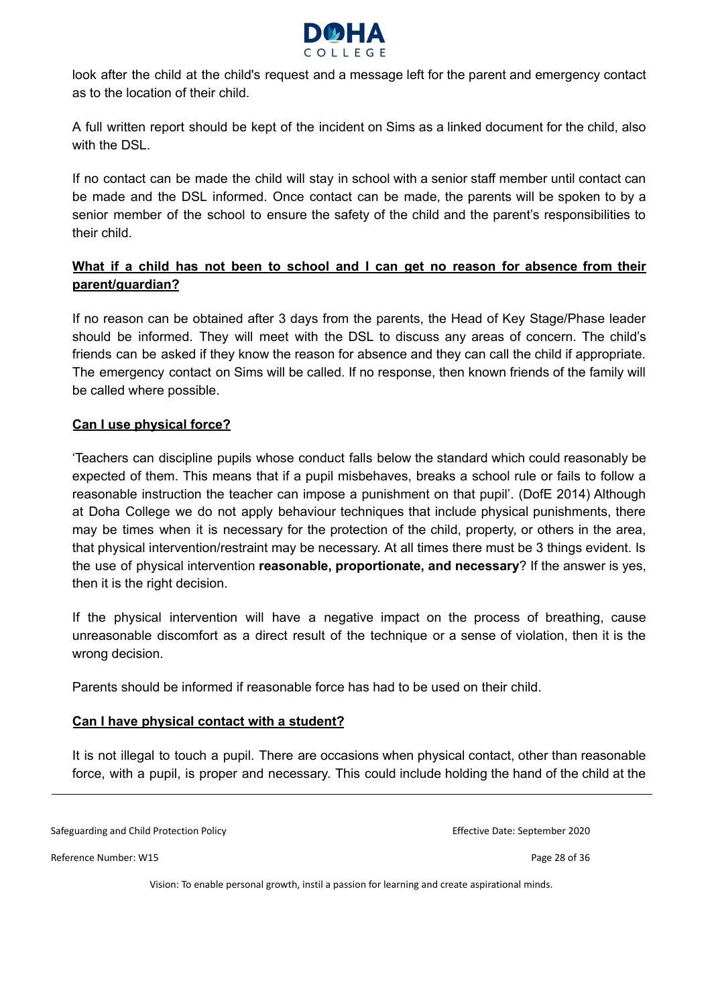

look after the child at the child's request and a message left for the parent and emergency contact as to the location of their child.

A full written report should be kept of the incident on Sims as a linked document for the child, also with the DSL.

If no contact can be made the child will stay in school with a senior staff member until contact can be made and the DSL informed. Once contact can be made, the parents will be spoken to by a senior member of the school to ensure the safety of the child and the parent's responsibilities to their child.

#### **What if a child has not been to school and I can get no reason for absence from their parent/guardian?**

If no reason can be obtained after 3 days from the parents, the Head of Key Stage/Phase leader should be informed. They will meet with the DSL to discuss any areas of concern. The child's friends can be asked if they know the reason for absence and they can call the child if appropriate. The emergency contact on Sims will be called. If no response, then known friends of the family will be called where possible.

#### **Can I use physical force?**

'Teachers can discipline pupils whose conduct falls below the standard which could reasonably be expected of them. This means that if a pupil misbehaves, breaks a school rule or fails to follow a reasonable instruction the teacher can impose a punishment on that pupil'. (DofE 2014) Although at Doha College we do not apply behaviour techniques that include physical punishments, there may be times when it is necessary for the protection of the child, property, or others in the area, that physical intervention/restraint may be necessary. At all times there must be 3 things evident. Is the use of physical intervention **reasonable, proportionate, and necessary**? If the answer is yes, then it is the right decision.

If the physical intervention will have a negative impact on the process of breathing, cause unreasonable discomfort as a direct result of the technique or a sense of violation, then it is the wrong decision.

Parents should be informed if reasonable force has had to be used on their child.

#### **Can I have physical contact with a student?**

It is not illegal to touch a pupil. There are occasions when physical contact, other than reasonable force, with a pupil, is proper and necessary. This could include holding the hand of the child at the

Safeguarding and Child Protection Policy **Example 2020** Effective Date: September 2020

Reference Number: W15 Page 28 of 36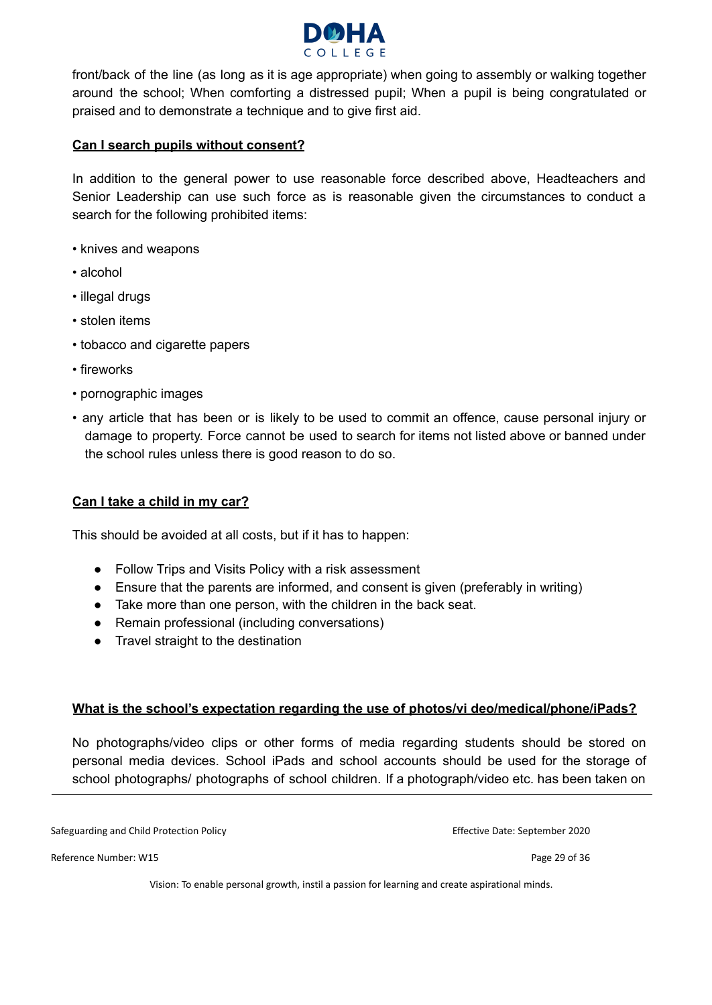

front/back of the line (as long as it is age appropriate) when going to assembly or walking together around the school; When comforting a distressed pupil; When a pupil is being congratulated or praised and to demonstrate a technique and to give first aid.

#### **Can I search pupils without consent?**

In addition to the general power to use reasonable force described above, Headteachers and Senior Leadership can use such force as is reasonable given the circumstances to conduct a search for the following prohibited items:

- knives and weapons
- alcohol
- illegal drugs
- stolen items
- tobacco and cigarette papers
- fireworks
- pornographic images
- any article that has been or is likely to be used to commit an offence, cause personal injury or damage to property. Force cannot be used to search for items not listed above or banned under the school rules unless there is good reason to do so.

#### **Can I take a child in my car?**

This should be avoided at all costs, but if it has to happen:

- Follow Trips and Visits Policy with a risk assessment
- Ensure that the parents are informed, and consent is given (preferably in writing)
- Take more than one person, with the children in the back seat.
- Remain professional (including conversations)
- Travel straight to the destination

#### **What is the school's expectation regarding the use of photos/vi deo/medical/phone/iPads?**

No photographs/video clips or other forms of media regarding students should be stored on personal media devices. School iPads and school accounts should be used for the storage of school photographs/ photographs of school children. If a photograph/video etc. has been taken on

Safeguarding and Child Protection Policy **Example 2020** Effective Date: September 2020

Reference Number: W15 Page 29 of 36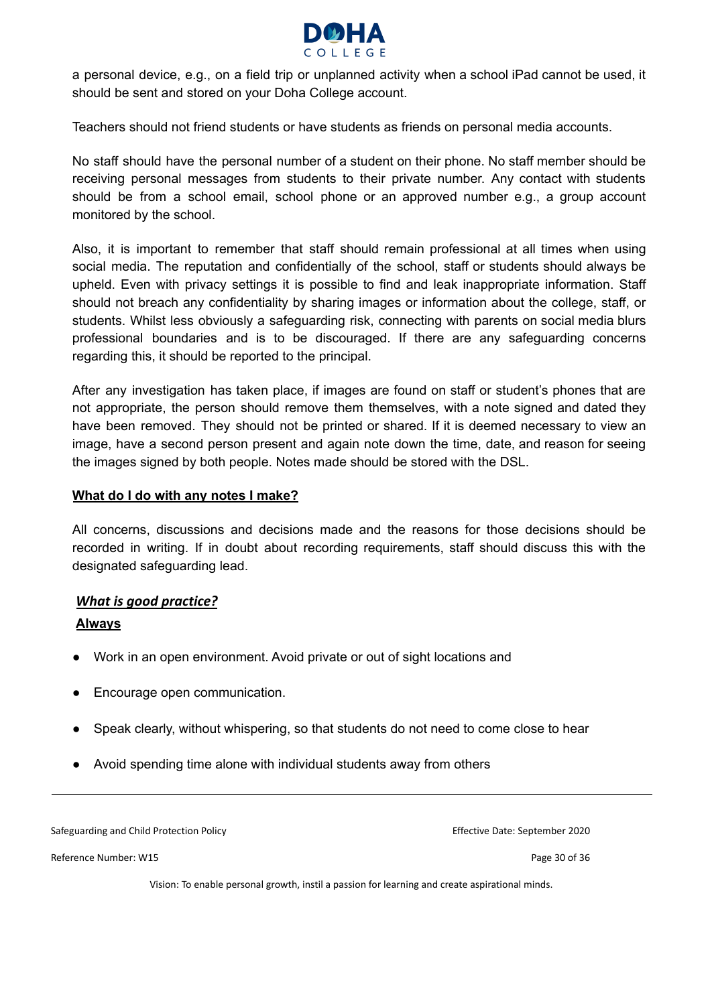

a personal device, e.g., on a field trip or unplanned activity when a school iPad cannot be used, it should be sent and stored on your Doha College account.

Teachers should not friend students or have students as friends on personal media accounts.

No staff should have the personal number of a student on their phone. No staff member should be receiving personal messages from students to their private number. Any contact with students should be from a school email, school phone or an approved number e.g., a group account monitored by the school.

Also, it is important to remember that staff should remain professional at all times when using social media. The reputation and confidentially of the school, staff or students should always be upheld. Even with privacy settings it is possible to find and leak inappropriate information. Staff should not breach any confidentiality by sharing images or information about the college, staff, or students. Whilst less obviously a safeguarding risk, connecting with parents on social media blurs professional boundaries and is to be discouraged. If there are any safeguarding concerns regarding this, it should be reported to the principal.

After any investigation has taken place, if images are found on staff or student's phones that are not appropriate, the person should remove them themselves, with a note signed and dated they have been removed. They should not be printed or shared. If it is deemed necessary to view an image, have a second person present and again note down the time, date, and reason for seeing the images signed by both people. Notes made should be stored with the DSL.

#### **What do I do with any notes I make?**

All concerns, discussions and decisions made and the reasons for those decisions should be recorded in writing. If in doubt about recording requirements, staff should discuss this with the designated safeguarding lead.

#### *What is good practice?*

#### **Always**

- Work in an open environment. Avoid private or out of sight locations and
- Encourage open communication.
- Speak clearly, without whispering, so that students do not need to come close to hear
- Avoid spending time alone with individual students away from others

Safeguarding and Child Protection Policy **Example 2020** Effective Date: September 2020

Reference Number: W15 **Page 30** of 36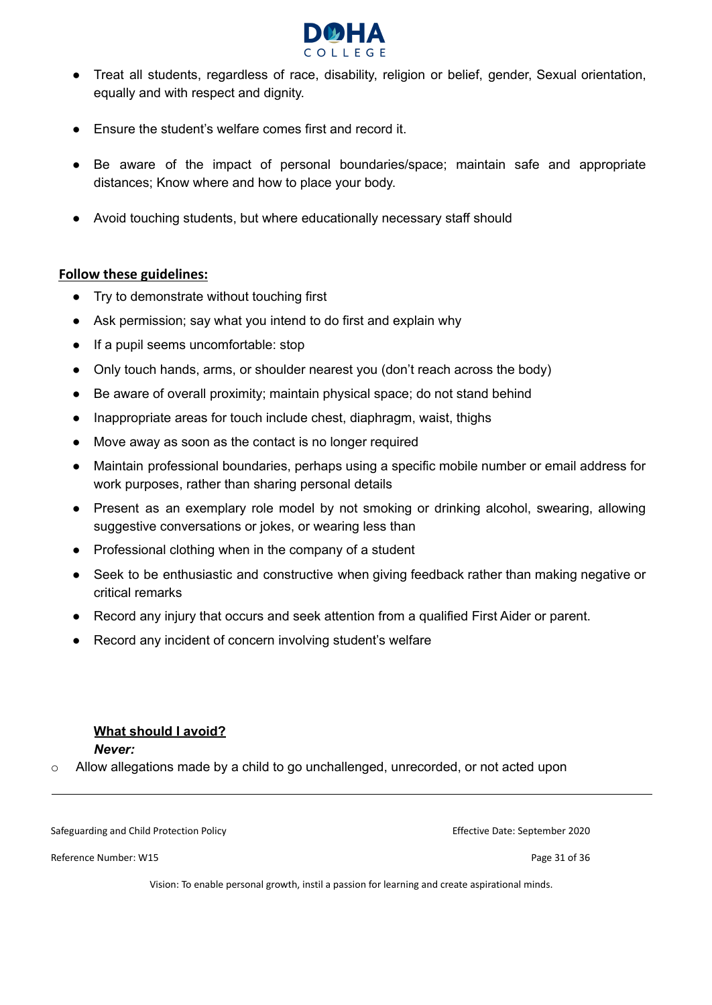

- Treat all students, regardless of race, disability, religion or belief, gender, Sexual orientation, equally and with respect and dignity.
- Ensure the student's welfare comes first and record it.
- Be aware of the impact of personal boundaries/space; maintain safe and appropriate distances; Know where and how to place your body.
- Avoid touching students, but where educationally necessary staff should

#### **Follow these guidelines:**

- Try to demonstrate without touching first
- Ask permission; say what you intend to do first and explain why
- If a pupil seems uncomfortable: stop
- Only touch hands, arms, or shoulder nearest you (don't reach across the body)
- Be aware of overall proximity; maintain physical space; do not stand behind
- Inappropriate areas for touch include chest, diaphragm, waist, thighs
- Move away as soon as the contact is no longer required
- Maintain professional boundaries, perhaps using a specific mobile number or email address for work purposes, rather than sharing personal details
- Present as an exemplary role model by not smoking or drinking alcohol, swearing, allowing suggestive conversations or jokes, or wearing less than
- Professional clothing when in the company of a student
- Seek to be enthusiastic and constructive when giving feedback rather than making negative or critical remarks
- Record any injury that occurs and seek attention from a qualified First Aider or parent.
- Record any incident of concern involving student's welfare

# **What should I avoid?**

#### *Never:*

 $\circ$  Allow allegations made by a child to go unchallenged, unrecorded, or not acted upon

Safeguarding and Child Protection Policy **Example 2020** Effective Date: September 2020

Reference Number: W15 Page 31 of 36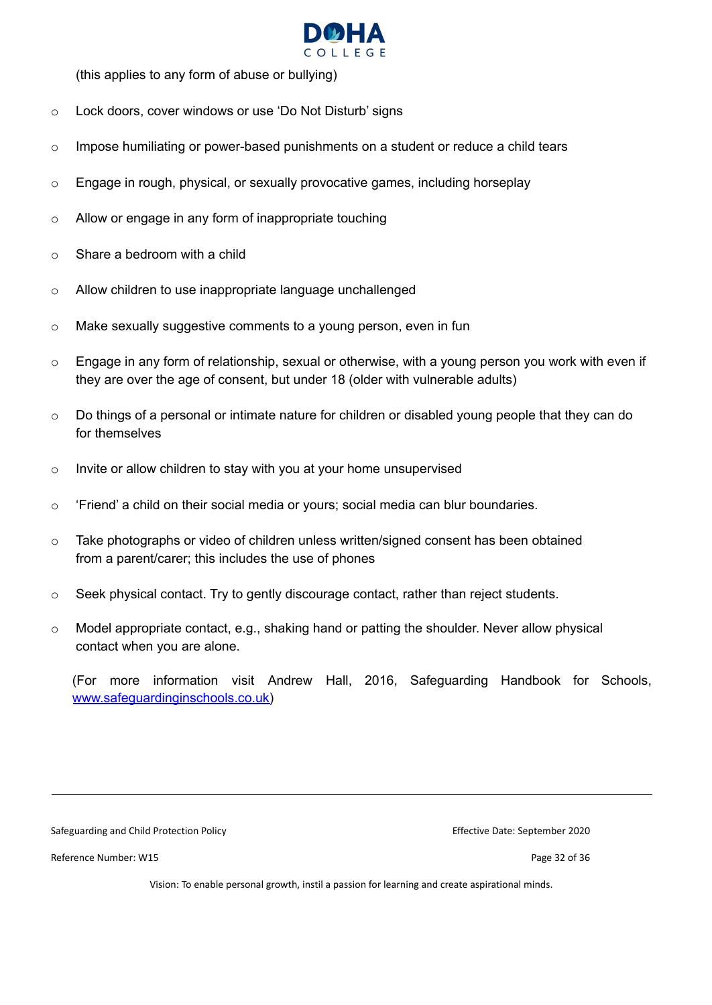

(this applies to any form of abuse or bullying)

- o Lock doors, cover windows or use 'Do Not Disturb' signs
- o Impose humiliating or power-based punishments on a student or reduce a child tears
- o Engage in rough, physical, or sexually provocative games, including horseplay
- o Allow or engage in any form of inappropriate touching
- o Share a bedroom with a child
- o Allow children to use inappropriate language unchallenged
- o Make sexually suggestive comments to a young person, even in fun
- $\circ$  Engage in any form of relationship, sexual or otherwise, with a young person you work with even if they are over the age of consent, but under 18 (older with vulnerable adults)
- $\circ$  Do things of a personal or intimate nature for children or disabled young people that they can do for themselves
- o Invite or allow children to stay with you at your home unsupervised
- o 'Friend' a child on their social media or yours; social media can blur boundaries.
- o Take photographs or video of children unless written/signed consent has been obtained from a parent/carer; this includes the use of phones
- o Seek physical contact. Try to gently discourage contact, rather than reject students.
- o Model appropriate contact, e.g., shaking hand or patting the shoulder. Never allow physical contact when you are alone.

(For more information visit Andrew Hall, 2016, Safeguarding Handbook for Schools, [www.safeguardinginschools.co.uk\)](http://www.safeguardinginschools.co.uk)

Safeguarding and Child Protection Policy **Example 2020** Effective Date: September 2020

Reference Number: W15 Page 32 of 36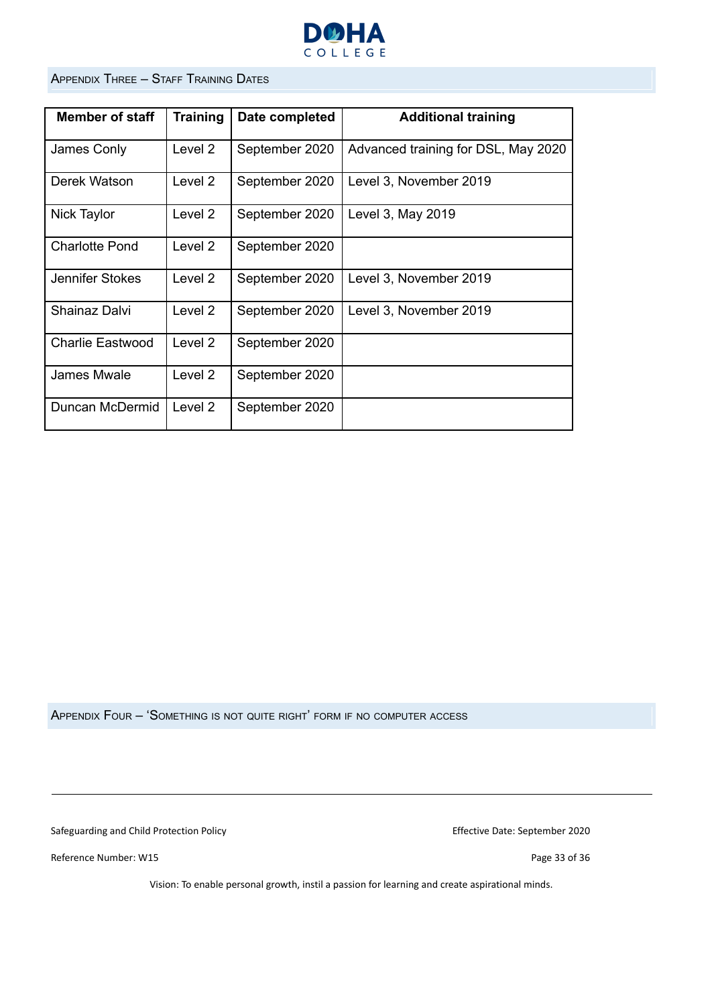

#### <span id="page-32-0"></span>APPENDIX THREE – STAFF TRAINING DATES

| <b>Member of staff</b>  | Training | Date completed | <b>Additional training</b>          |  |  |  |
|-------------------------|----------|----------------|-------------------------------------|--|--|--|
| James Conly             | Level 2  | September 2020 | Advanced training for DSL, May 2020 |  |  |  |
| Derek Watson            | Level 2  | September 2020 | Level 3, November 2019              |  |  |  |
| Nick Taylor             | Level 2  | September 2020 | Level 3, May 2019                   |  |  |  |
| <b>Charlotte Pond</b>   | Level 2  | September 2020 |                                     |  |  |  |
| Jennifer Stokes         | Level 2  | September 2020 | Level 3, November 2019              |  |  |  |
| Shainaz Dalvi           | Level 2  | September 2020 | Level 3, November 2019              |  |  |  |
| <b>Charlie Eastwood</b> | Level 2  | September 2020 |                                     |  |  |  |
| James Mwale             | Level 2  | September 2020 |                                     |  |  |  |
| Duncan McDermid         | Level 2  | September 2020 |                                     |  |  |  |

<span id="page-32-1"></span>APPENDIX FOUR – 'SOMETHING IS NOT QUITE RIGHT' FORM IF NO COMPUTER ACCESS

Safeguarding and Child Protection Policy **Example 2020** Effective Date: September 2020

Reference Number: W15 Page 33 of 36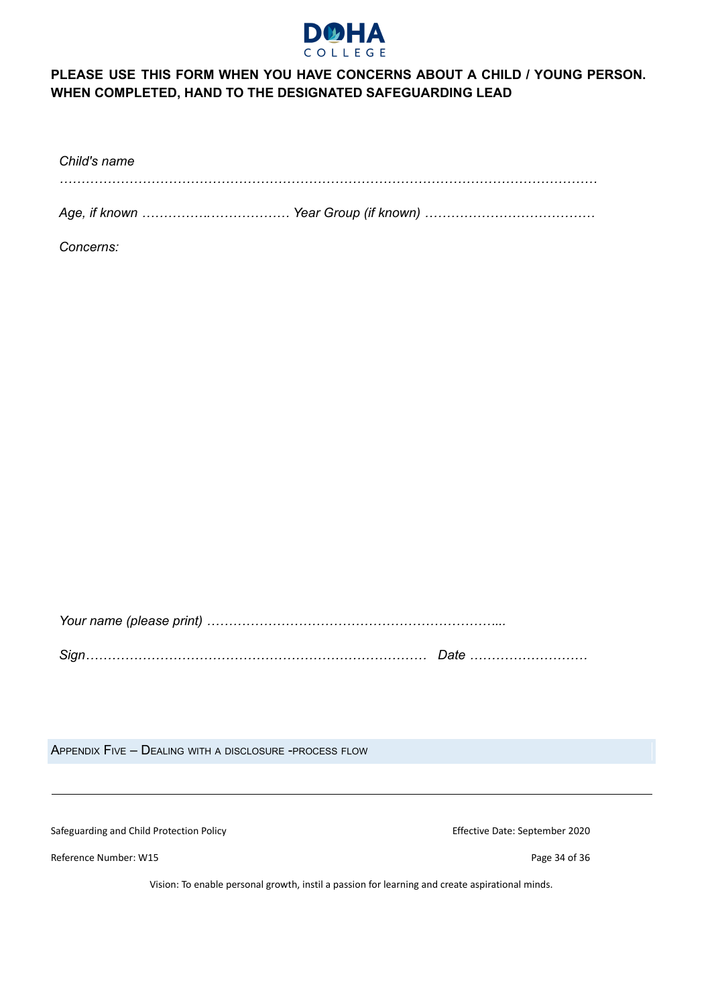

#### **PLEASE USE THIS FORM WHEN YOU HAVE CONCERNS ABOUT A CHILD / YOUNG PERSON. WHEN COMPLETED, HAND TO THE DESIGNATED SAFEGUARDING LEAD**

| Child's name |  |
|--------------|--|
|              |  |
|              |  |

*Concerns:*

*Your name (please print) …………………………………………………………...*

*Sign…………………………………………………………………… Date ………………………*

<span id="page-33-0"></span>APPENDIX FIVE – DEALING WITH <sup>A</sup> DISCLOSURE -PROCESS FLOW

Safeguarding and Child Protection Policy **Example 2020** Effective Date: September 2020

Reference Number: W15 Page 34 of 36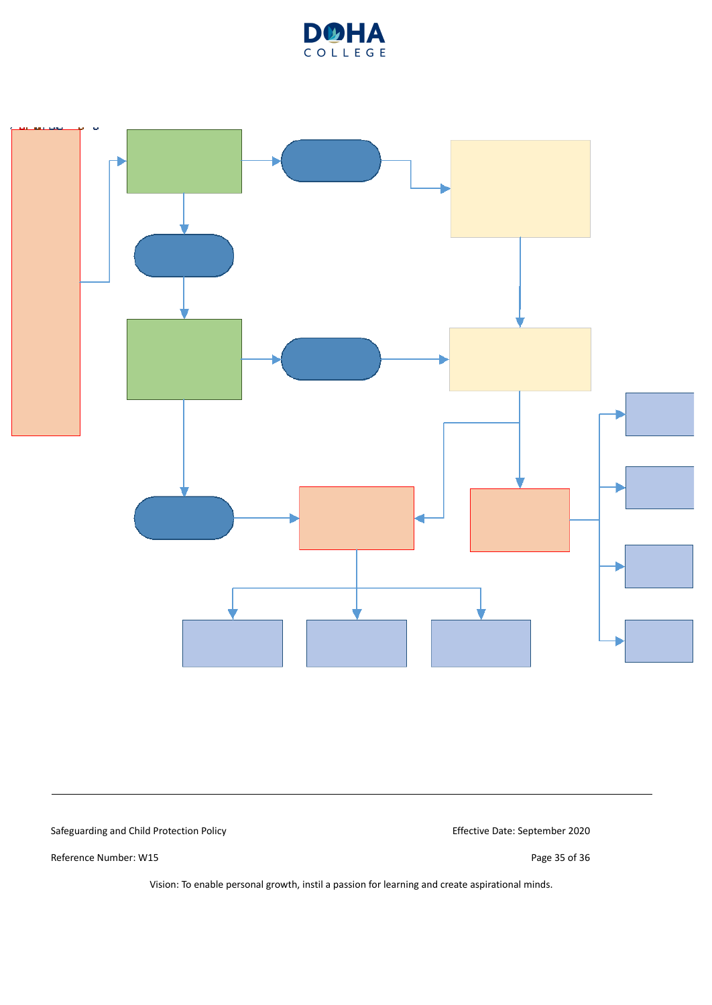



Safeguarding and Child Protection Policy **Effective Date: September 2020** 

Reference Number: W15 Page 35 of 36